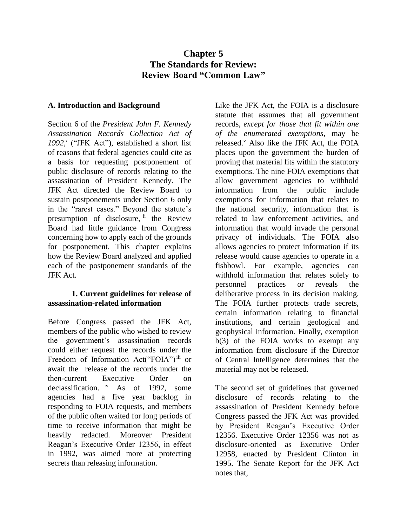# **Chapter 5 The Standards for Review: Review Board "Common Law"**

# **A. Introduction and Background**

Section 6 of the *President John F. Kennedy Assassination Records Collection Act of 1992,<sup>i</sup>* ("JFK Act"), established a short list of reasons that federal agencies could cite as a basis for requesting postponement of public disclosure of records relating to the assassination of President Kennedy. The JFK Act directed the Review Board to sustain postponements under Section 6 only in the "rarest cases." Beyond the statute's presumption of disclosure, if the Review Board had little guidance from Congress concerning how to apply each of the grounds for postponement. This chapter explains how the Review Board analyzed and applied each of the postponement standards of the JFK Act.

# **1. Current guidelines for release of assassination-related information**

Before Congress passed the JFK Act, members of the public who wished to review the government's assassination records could either request the records under the Freedom of Information Act("FOIA")<sup>iii</sup> or await the release of the records under the then-current Executive Order on declassification. <sup>iv</sup> As of 1992, some agencies had a five year backlog in responding to FOIA requests, and members of the public often waited for long periods of time to receive information that might be heavily redacted. Moreover President Reagan's Executive Order 12356, in effect in 1992, was aimed more at protecting secrets than releasing information.

Like the JFK Act, the FOIA is a disclosure statute that assumes that all government records, *except for those that fit within one of the enumerated exemptions,* may be released.<sup>v</sup> Also like the JFK Act, the FOIA places upon the government the burden of proving that material fits within the statutory exemptions. The nine FOIA exemptions that allow government agencies to withhold information from the public include exemptions for information that relates to the national security, information that is related to law enforcement activities, and information that would invade the personal privacy of individuals. The FOIA also allows agencies to protect information if its release would cause agencies to operate in a fishbowl. For example, agencies can withhold information that relates solely to personnel practices or reveals the deliberative process in its decision making. The FOIA further protects trade secrets, certain information relating to financial institutions, and certain geological and geophysical information. Finally, exemption b(3) of the FOIA works to exempt any information from disclosure if the Director of Central Intelligence determines that the material may not be released.

The second set of guidelines that governed disclosure of records relating to the assassination of President Kennedy before Congress passed the JFK Act was provided by President Reagan's Executive Order 12356. Executive Order 12356 was not as disclosure-oriented as Executive Order 12958, enacted by President Clinton in 1995. The Senate Report for the JFK Act notes that,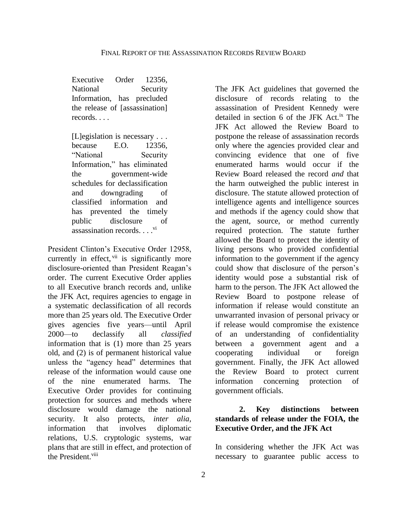Executive Order 12356, National Security Information, has precluded the release of [assassination] records. . . .

[L]egislation is necessary . . . because E.O. 12356, "National Security Information," has eliminated the government-wide schedules for declassification and downgrading of classified information and has prevented the timely public disclosure of assassination records. . . . vi

President Clinton's Executive Order 12958, currently in effect, vii is significantly more disclosure-oriented than President Reagan's order. The current Executive Order applies to all Executive branch records and, unlike the JFK Act, requires agencies to engage in a systematic declassification of all records more than 25 years old. The Executive Order gives agencies five years—until April 2000—to declassify all *classified* information that is (1) more than 25 years old, and (2) is of permanent historical value unless the "agency head" determines that release of the information would cause one of the nine enumerated harms. The Executive Order provides for continuing protection for sources and methods where disclosure would damage the national security. It also protects, *inter alia,* information that involves diplomatic relations, U.S. cryptologic systems, war plans that are still in effect, and protection of the President.<sup>viii</sup>

The JFK Act guidelines that governed the disclosure of records relating to the assassination of President Kennedy were detailed in section 6 of the JFK Act.<sup>ix</sup> The JFK Act allowed the Review Board to postpone the release of assassination records only where the agencies provided clear and convincing evidence that one of five enumerated harms would occur if the Review Board released the record *and* that the harm outweighed the public interest in disclosure. The statute allowed protection of intelligence agents and intelligence sources and methods if the agency could show that the agent, source, or method currently required protection. The statute further allowed the Board to protect the identity of living persons who provided confidential information to the government if the agency could show that disclosure of the person's identity would pose a substantial risk of harm to the person. The JFK Act allowed the Review Board to postpone release of information if release would constitute an unwarranted invasion of personal privacy or if release would compromise the existence of an understanding of confidentiality between a government agent and a cooperating individual or foreign government. Finally, the JFK Act allowed the Review Board to protect current information concerning protection of government officials.

# **2. Key distinctions between standards of release under the FOIA, the Executive Order, and the JFK Act**

In considering whether the JFK Act was necessary to guarantee public access to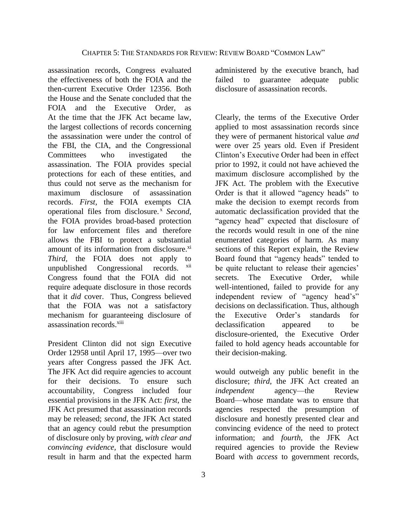assassination records, Congress evaluated the effectiveness of both the FOIA and the then-current Executive Order 12356. Both the House and the Senate concluded that the FOIA and the Executive Order, as At the time that the JFK Act became law, the largest collections of records concerning the assassination were under the control of the FBI, the CIA, and the Congressional Committees who investigated the assassination. The FOIA provides special protections for each of these entities, and thus could not serve as the mechanism for maximum disclosure of assassination records. *First,* the FOIA exempts CIA operational files from disclosure. <sup>x</sup> *Second,* the FOIA provides broad-based protection for law enforcement files and therefore allows the FBI to protect a substantial amount of its information from disclosure.<sup>xi</sup> *Third,* the FOIA does not apply to unpublished Congressional records. xii Congress found that the FOIA did not require adequate disclosure in those records that it *did* cover. Thus, Congress believed that the FOIA was not a satisfactory mechanism for guaranteeing disclosure of assassination records.<sup>xiii</sup>

President Clinton did not sign Executive Order 12958 until April 17, 1995—over two years after Congress passed the JFK Act. The JFK Act did require agencies to account for their decisions. To ensure such accountability, Congress included four essential provisions in the JFK Act: *first,* the JFK Act presumed that assassination records may be released; *second*, the JFK Act stated that an agency could rebut the presumption of disclosure only by proving, *with clear and convincing evidence,* that disclosure would result in harm and that the expected harm

3

administered by the executive branch, had failed to guarantee adequate public disclosure of assassination records.

Clearly, the terms of the Executive Order applied to most assassination records since they were of permanent historical value *and*  were over 25 years old. Even if President Clinton's Executive Order had been in effect prior to 1992, it could not have achieved the maximum disclosure accomplished by the JFK Act. The problem with the Executive Order is that it allowed "agency heads" to make the decision to exempt records from automatic declassification provided that the "agency head" expected that disclosure of the records would result in one of the nine enumerated categories of harm. As many sections of this Report explain, the Review Board found that "agency heads" tended to be quite reluctant to release their agencies' secrets. The Executive Order, while well-intentioned, failed to provide for any independent review of "agency head's" decisions on declassification. Thus, although the Executive Order's standards for declassification appeared to be disclosure-oriented, the Executive Order failed to hold agency heads accountable for their decision-making.

would outweigh any public benefit in the disclosure; *third,* the JFK Act created an *independent* agency—the Review Board—whose mandate was to ensure that agencies respected the presumption of disclosure and honestly presented clear and convincing evidence of the need to protect information; and *fourth,* the JFK Act required agencies to provide the Review Board with *access* to government records,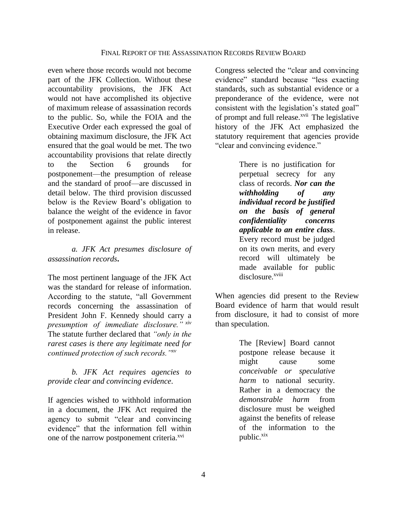even where those records would not become part of the JFK Collection. Without these accountability provisions, the JFK Act would not have accomplished its objective of maximum release of assassination records to the public. So, while the FOIA and the Executive Order each expressed the goal of obtaining maximum disclosure, the JFK Act ensured that the goal would be met. The two accountability provisions that relate directly to the Section 6 grounds for postponement—the presumption of release and the standard of proof—are discussed in detail below. The third provision discussed below is the Review Board's obligation to balance the weight of the evidence in favor of postponement against the public interest in release.

## *a. JFK Act presumes disclosure of assassination records***.**

The most pertinent language of the JFK Act was the standard for release of information. According to the statute, "all Government records concerning the assassination of President John F. Kennedy should carry a *presumption of immediate disclosure." xiv* The statute further declared that *"only in the rarest cases is there any legitimate need for continued protection of such records."xv*

*b. JFK Act requires agencies to provide clear and convincing evidence*.

If agencies wished to withhold information in a document, the JFK Act required the agency to submit "clear and convincing evidence" that the information fell within one of the narrow postponement criteria.<sup>xvi</sup>

Congress selected the "clear and convincing evidence" standard because "less exacting standards, such as substantial evidence or a preponderance of the evidence, were not consistent with the legislation's stated goal" of prompt and full release.<sup>xvii</sup> The legislative history of the JFK Act emphasized the statutory requirement that agencies provide "clear and convincing evidence."

> There is no justification for perpetual secrecy for any class of records. *Nor can the withholding of any individual record be justified on the basis of general confidentiality concerns applicable to an entire class*. Every record must be judged on its own merits, and every record will ultimately be made available for public disclosure.<sup>xviii</sup>

When agencies did present to the Review Board evidence of harm that would result from disclosure, it had to consist of more than speculation.

> The [Review] Board cannot postpone release because it might cause some *conceivable or speculative harm* to national security. Rather in a democracy the *demonstrable harm* from disclosure must be weighed against the benefits of release of the information to the public.<sup>xix</sup>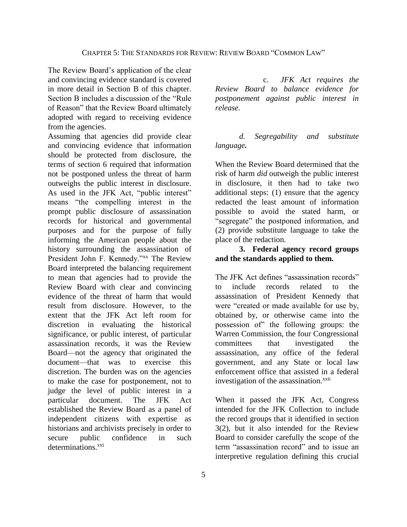The Review Board's application of the clear and convincing evidence standard is covered in more detail in Section B of this chapter. Section B includes a discussion of the "Rule of Reason" that the Review Board ultimately adopted with regard to receiving evidence from the agencies.

Assuming that agencies did provide clear and convincing evidence that information should be protected from disclosure, the terms of section 6 required that information not be postponed unless the threat of harm outweighs the public interest in disclosure. As used in the JFK Act, "public interest" means "the compelling interest in the prompt public disclosure of assassination records for historical and governmental purposes and for the purpose of fully informing the American people about the history surrounding the assassination of President John F. Kennedy."xx The Review Board interpreted the balancing requirement to mean that agencies had to provide the Review Board with clear and convincing evidence of the threat of harm that would result from disclosure. However, to the extent that the JFK Act left room for discretion in evaluating the historical significance, or public interest, of particular assassination records, it was the Review Board—not the agency that originated the document—that was to exercise this discretion. The burden was on the agencies to make the case for postponement, not to judge the level of public interest in a particular document. The JFK Act established the Review Board as a panel of independent citizens with expertise as historians and archivists precisely in order to secure public confidence in such determinations.<sup>xxi</sup>

c. *JFK Act requires the Review Board to balance evidence for postponement against public interest in release.*

*d. Segregability and substitute language.*

When the Review Board determined that the risk of harm *did* outweigh the public interest in disclosure, it then had to take two additional steps: (1) ensure that the agency redacted the least amount of information possible to avoid the stated harm, or "segregate" the postponed information, and (2) provide substitute language to take the place of the redaction.

# **3. Federal agency record groups and the standards applied to them.**

The JFK Act defines "assassination records" to include records related to the assassination of President Kennedy that were "created or made available for use by, obtained by, or otherwise came into the possession of" the following groups: the Warren Commission, the four Congressional committees that investigated the assassination, any office of the federal government, and any State or local law enforcement office that assisted in a federal investigation of the assassination.<sup>xxii</sup>

When it passed the JFK Act, Congress intended for the JFK Collection to include the record groups that it identified in section 3(2), but it also intended for the Review Board to consider carefully the scope of the term "assassination record" and to issue an interpretive regulation defining this crucial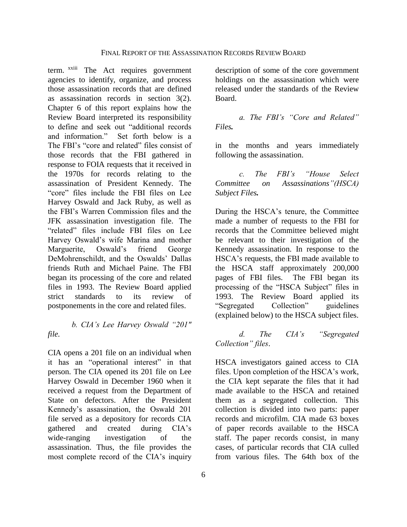term. xxiii The Act requires government agencies to identify, organize, and process those assassination records that are defined as assassination records in section 3(2). Chapter 6 of this report explains how the Review Board interpreted its responsibility to define and seek out "additional records and information." Set forth below is a The FBI's "core and related" files consist of those records that the FBI gathered in response to FOIA requests that it received in the 1970s for records relating to the assassination of President Kennedy. The "core" files include the FBI files on Lee Harvey Oswald and Jack Ruby, as well as the FBI's Warren Commission files and the JFK assassination investigation file. The "related" files include FBI files on Lee Harvey Oswald's wife Marina and mother Marguerite, Oswald's friend George DeMohrenschildt, and the Oswalds' Dallas friends Ruth and Michael Paine. The FBI began its processing of the core and related files in 1993. The Review Board applied strict standards to its review of postponements in the core and related files.

### *b. CIA's Lee Harvey Oswald "201" file.*

CIA opens a 201 file on an individual when it has an "operational interest" in that person. The CIA opened its 201 file on Lee Harvey Oswald in December 1960 when it received a request from the Department of State on defectors. After the President Kennedy's assassination, the Oswald 201 file served as a depository for records CIA gathered and created during CIA's wide-ranging investigation of the assassination. Thus, the file provides the most complete record of the CIA's inquiry description of some of the core government holdings on the assassination which were released under the standards of the Review Board.

*a. The FBI's "Core and Related" Files.*

in the months and years immediately following the assassination.

*c. The FBI's "House Select Committee on Assassinations"(HSCA) Subject Files.*

During the HSCA's tenure, the Committee made a number of requests to the FBI for records that the Committee believed might be relevant to their investigation of the Kennedy assassination. In response to the HSCA's requests, the FBI made available to the HSCA staff approximately 200,000 pages of FBI files. The FBI began its processing of the "HSCA Subject" files in 1993. The Review Board applied its "Segregated Collection" guidelines (explained below) to the HSCA subject files.

*d. The CIA's "Segregated Collection" files*.

HSCA investigators gained access to CIA files. Upon completion of the HSCA's work, the CIA kept separate the files that it had made available to the HSCA and retained them as a segregated collection. This collection is divided into two parts: paper records and microfilm. CIA made 63 boxes of paper records available to the HSCA staff. The paper records consist, in many cases, of particular records that CIA culled from various files. The 64th box of the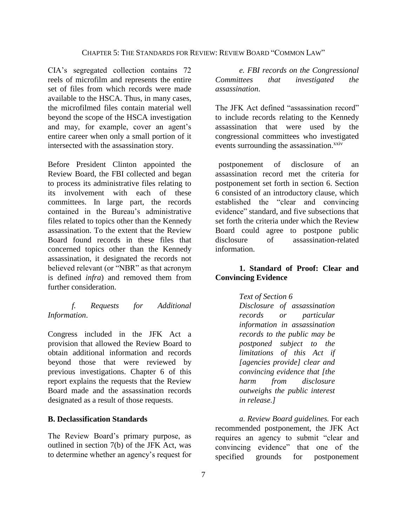CIA's segregated collection contains 72 reels of microfilm and represents the entire set of files from which records were made available to the HSCA. Thus, in many cases, the microfilmed files contain material well beyond the scope of the HSCA investigation and may, for example, cover an agent's entire career when only a small portion of it intersected with the assassination story.

Before President Clinton appointed the Review Board, the FBI collected and began to process its administrative files relating to its involvement with each of these committees. In large part, the records contained in the Bureau's administrative files related to topics other than the Kennedy assassination. To the extent that the Review Board found records in these files that concerned topics other than the Kennedy assassination, it designated the records not believed relevant (or "NBR" as that acronym is defined *infra*) and removed them from further consideration.

### *f. Requests for Additional Information*.

Congress included in the JFK Act a provision that allowed the Review Board to obtain additional information and records beyond those that were reviewed by previous investigations. Chapter 6 of this report explains the requests that the Review Board made and the assassination records designated as a result of those requests.

#### **B. Declassification Standards**

The Review Board's primary purpose, as outlined in section 7(b) of the JFK Act, was to determine whether an agency's request for

*e. FBI records on the Congressional Committees that investigated the assassination*.

The JFK Act defined "assassination record" to include records relating to the Kennedy assassination that were used by the congressional committees who investigated events surrounding the assassination.<sup>xxiv</sup>

postponement of disclosure of an assassination record met the criteria for postponement set forth in section 6. Section 6 consisted of an introductory clause, which established the "clear and convincing evidence" standard, and five subsections that set forth the criteria under which the Review Board could agree to postpone public disclosure of assassination-related information.

# **1. Standard of Proof: Clear and Convincing Evidence**

*Text of Section 6*

*Disclosure of assassination records or particular information in assassination records to the public may be postponed subject to the limitations of this Act if [agencies provide] clear and convincing evidence that [the harm from disclosure outweighs the public interest in release.]*

*a. Review Board guidelines.* For each recommended postponement, the JFK Act requires an agency to submit "clear and convincing evidence" that one of the specified grounds for postponement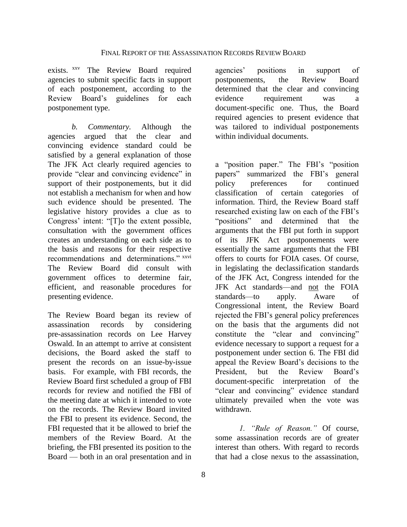#### FINAL REPORT OF THE ASSASSINATION RECORDS REVIEW BOARD

exists. xxv The Review Board required agencies to submit specific facts in support of each postponement, according to the Review Board's guidelines for each postponement type.

*b. Commentary.* Although the agencies argued that the clear and convincing evidence standard could be satisfied by a general explanation of those The JFK Act clearly required agencies to provide "clear and convincing evidence" in support of their postponements, but it did not establish a mechanism for when and how such evidence should be presented. The legislative history provides a clue as to Congress' intent: "[T]o the extent possible, consultation with the government offices creates an understanding on each side as to the basis and reasons for their respective recommendations and determinations." xxvi The Review Board did consult with government offices to determine fair, efficient, and reasonable procedures for presenting evidence.

The Review Board began its review of assassination records by considering pre-assassination records on Lee Harvey Oswald. In an attempt to arrive at consistent decisions, the Board asked the staff to present the records on an issue-by-issue basis. For example, with FBI records, the Review Board first scheduled a group of FBI records for review and notified the FBI of the meeting date at which it intended to vote on the records. The Review Board invited the FBI to present its evidence. Second, the FBI requested that it be allowed to brief the members of the Review Board. At the briefing, the FBI presented its position to the Board — both in an oral presentation and in

agencies' positions in support of postponements, the Review Board determined that the clear and convincing evidence requirement was a document-specific one. Thus, the Board required agencies to present evidence that was tailored to individual postponements within individual documents.

a "position paper." The FBI's "position papers" summarized the FBI's general policy preferences for continued classification of certain categories of information. Third, the Review Board staff researched existing law on each of the FBI's "positions" and determined that the arguments that the FBI put forth in support of its JFK Act postponements were essentially the same arguments that the FBI offers to courts for FOIA cases. Of course, in legislating the declassification standards of the JFK Act, Congress intended for the JFK Act standards—and not the FOIA standards—to apply. Aware of Congressional intent, the Review Board rejected the FBI's general policy preferences on the basis that the arguments did not constitute the "clear and convincing" evidence necessary to support a request for a postponement under section 6. The FBI did appeal the Review Board's decisions to the President, but the Review Board's document-specific interpretation of the "clear and convincing" evidence standard ultimately prevailed when the vote was withdrawn.

*1. "Rule of Reason."* Of course, some assassination records are of greater interest than others. With regard to records that had a close nexus to the assassination,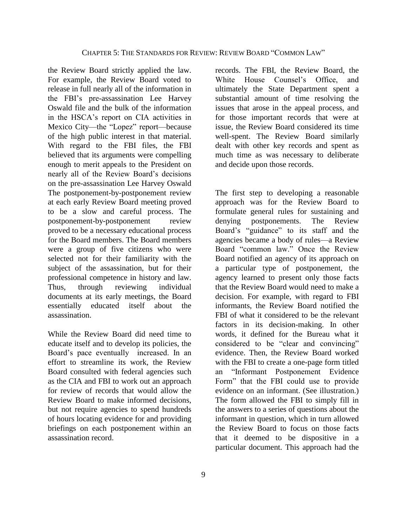the Review Board strictly applied the law. For example, the Review Board voted to release in full nearly all of the information in the FBI's pre-assassination Lee Harvey Oswald file and the bulk of the information in the HSCA's report on CIA activities in Mexico City—the "Lopez" report—because of the high public interest in that material. With regard to the FBI files, the FBI believed that its arguments were compelling enough to merit appeals to the President on nearly all of the Review Board's decisions on the pre-assassination Lee Harvey Oswald The postponement-by-postponement review at each early Review Board meeting proved to be a slow and careful process. The postponement-by-postponement review proved to be a necessary educational process for the Board members. The Board members were a group of five citizens who were selected not for their familiarity with the subject of the assassination, but for their professional competence in history and law. Thus, through reviewing individual documents at its early meetings, the Board essentially educated itself about the assassination.

While the Review Board did need time to educate itself and to develop its policies, the Board's pace eventually increased. In an effort to streamline its work, the Review Board consulted with federal agencies such as the CIA and FBI to work out an approach for review of records that would allow the Review Board to make informed decisions, but not require agencies to spend hundreds of hours locating evidence for and providing briefings on each postponement within an assassination record.

records. The FBI, the Review Board, the White House Counsel's Office, and ultimately the State Department spent a substantial amount of time resolving the issues that arose in the appeal process, and for those important records that were at issue, the Review Board considered its time well-spent. The Review Board similarly dealt with other key records and spent as much time as was necessary to deliberate and decide upon those records.

The first step to developing a reasonable approach was for the Review Board to formulate general rules for sustaining and denying postponements. The Review Board's "guidance" to its staff and the agencies became a body of rules—a Review Board "common law." Once the Review Board notified an agency of its approach on a particular type of postponement, the agency learned to present only those facts that the Review Board would need to make a decision. For example, with regard to FBI informants, the Review Board notified the FBI of what it considered to be the relevant factors in its decision-making. In other words, it defined for the Bureau what it considered to be "clear and convincing" evidence. Then, the Review Board worked with the FBI to create a one-page form titled an "Informant Postponement Evidence Form" that the FBI could use to provide evidence on an informant. (See illustration.) The form allowed the FBI to simply fill in the answers to a series of questions about the informant in question, which in turn allowed the Review Board to focus on those facts that it deemed to be dispositive in a particular document. This approach had the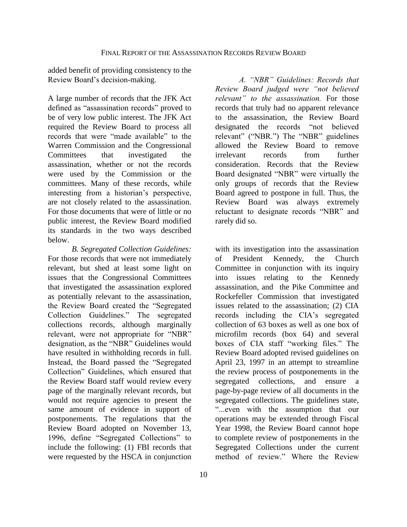added benefit of providing consistency to the Review Board's decision-making.

A large number of records that the JFK Act defined as "assassination records" proved to be of very low public interest. The JFK Act required the Review Board to process all records that were "made available" to the Warren Commission and the Congressional Committees that investigated the assassination, whether or not the records were used by the Commission or the committees. Many of these records, while interesting from a historian's perspective, are not closely related to the assassination. For those documents that were of little or no public interest, the Review Board modified its standards in the two ways described below.

*B. Segregated Collection Guidelines:*  For those records that were not immediately relevant, but shed at least some light on issues that the Congressional Committees that investigated the assassination explored as potentially relevant to the assassination, the Review Board created the "Segregated Collection Guidelines." The segregated collections records, although marginally relevant, were not appropriate for "NBR" designation, as the "NBR" Guidelines would have resulted in withholding records in full. Instead, the Board passed the "Segregated Collection" Guidelines, which ensured that the Review Board staff would review every page of the marginally relevant records, but would not require agencies to present the same amount of evidence in support of postponements. The regulations that the Review Board adopted on November 13, 1996, define "Segregated Collections" to include the following: (1) FBI records that were requested by the HSCA in conjunction

*A. "NBR" Guidelines: Records that Review Board judged were "not believed relevant" to the assassination.* For those records that truly had no apparent relevance to the assassination, the Review Board designated the records "not believed relevant" ("NBR.") The "NBR" guidelines allowed the Review Board to remove irrelevant records from further consideration. Records that the Review Board designated "NBR" were virtually the only groups of records that the Review Board agreed to postpone in full. Thus, the Review Board was always extremely reluctant to designate records "NBR" and rarely did so.

with its investigation into the assassination of President Kennedy, the Church Committee in conjunction with its inquiry into issues relating to the Kennedy assassination, and the Pike Committee and Rockefeller Commission that investigated issues related to the assassination; (2) CIA records including the CIA's segregated collection of 63 boxes as well as one box of microfilm records (box 64) and several boxes of CIA staff "working files." The Review Board adopted revised guidelines on April 23, 1997 in an attempt to streamline the review process of postponements in the segregated collections, and ensure page-by-page review of all documents in the segregated collections. The guidelines state, "...even with the assumption that our operations may be extended through Fiscal Year 1998, the Review Board cannot hope to complete review of postponements in the Segregated Collections under the current method of review." Where the Review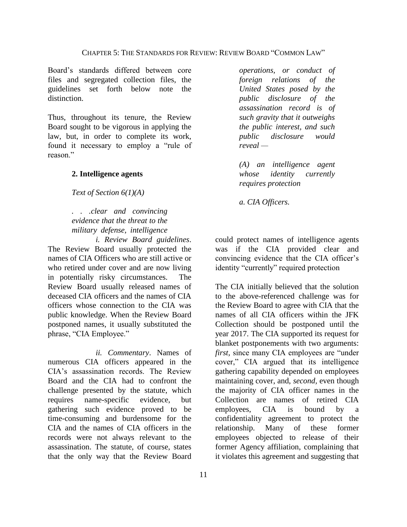Board's standards differed between core files and segregated collection files, the guidelines set forth below note the distinction.

Thus, throughout its tenure, the Review Board sought to be vigorous in applying the law, but, in order to complete its work, found it necessary to employ a "rule of reason<sup>"</sup>

#### **2. Intelligence agents**

*Text of Section 6(1)(A)*

*. . .clear and convincing evidence that the threat to the military defense, intelligence* 

*i. Review Board guidelines*. The Review Board usually protected the names of CIA Officers who are still active or who retired under cover and are now living in potentially risky circumstances. The Review Board usually released names of deceased CIA officers and the names of CIA officers whose connection to the CIA was public knowledge. When the Review Board postponed names, it usually substituted the phrase, "CIA Employee."

*ii. Commentary*. Names of numerous CIA officers appeared in the CIA's assassination records. The Review Board and the CIA had to confront the challenge presented by the statute, which requires name-specific evidence, but gathering such evidence proved to be time-consuming and burdensome for the CIA and the names of CIA officers in the records were not always relevant to the assassination. The statute, of course, states that the only way that the Review Board

*operations, or conduct of foreign relations of the United States posed by the public disclosure of the assassination record is of such gravity that it outweighs the public interest, and such public disclosure would reveal —*

*(A) an intelligence agent whose identity currently requires protection*

*a. CIA Officers.*

could protect names of intelligence agents was if the CIA provided clear and convincing evidence that the CIA officer's identity "currently" required protection

The CIA initially believed that the solution to the above-referenced challenge was for the Review Board to agree with CIA that the names of all CIA officers within the JFK Collection should be postponed until the year 2017. The CIA supported its request for blanket postponements with two arguments: *first,* since many CIA employees are "under cover," CIA argued that its intelligence gathering capability depended on employees maintaining cover, and, *second,* even though the majority of CIA officer names in the Collection are names of retired CIA employees, CIA is bound by a confidentiality agreement to protect the relationship. Many of these former employees objected to release of their former Agency affiliation, complaining that it violates this agreement and suggesting that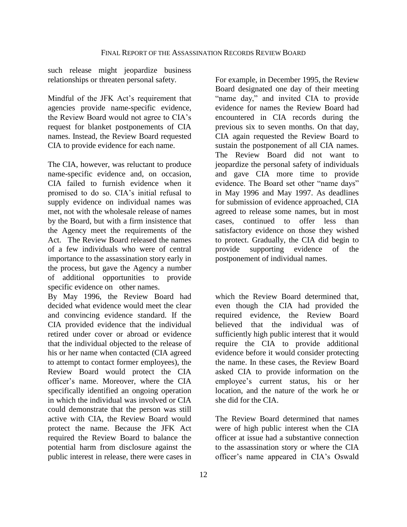such release might jeopardize business relationships or threaten personal safety.

Mindful of the JFK Act's requirement that agencies provide name-specific evidence, the Review Board would not agree to CIA's request for blanket postponements of CIA names. Instead, the Review Board requested CIA to provide evidence for each name.

The CIA, however, was reluctant to produce name-specific evidence and, on occasion, CIA failed to furnish evidence when it promised to do so. CIA's initial refusal to supply evidence on individual names was met, not with the wholesale release of names by the Board, but with a firm insistence that the Agency meet the requirements of the Act. The Review Board released the names of a few individuals who were of central importance to the assassination story early in the process, but gave the Agency a number of additional opportunities to provide specific evidence on other names.

By May 1996, the Review Board had decided what evidence would meet the clear and convincing evidence standard. If the CIA provided evidence that the individual retired under cover or abroad or evidence that the individual objected to the release of his or her name when contacted (CIA agreed to attempt to contact former employees), the Review Board would protect the CIA officer's name. Moreover, where the CIA specifically identified an ongoing operation in which the individual was involved or CIA could demonstrate that the person was still active with CIA, the Review Board would protect the name. Because the JFK Act required the Review Board to balance the potential harm from disclosure against the public interest in release, there were cases in

For example, in December 1995, the Review Board designated one day of their meeting "name day," and invited CIA to provide evidence for names the Review Board had encountered in CIA records during the previous six to seven months. On that day, CIA again requested the Review Board to sustain the postponement of all CIA names. The Review Board did not want to jeopardize the personal safety of individuals and gave CIA more time to provide evidence. The Board set other "name days" in May 1996 and May 1997. As deadlines for submission of evidence approached, CIA agreed to release some names, but in most cases, continued to offer less than satisfactory evidence on those they wished to protect. Gradually, the CIA did begin to provide supporting evidence of the postponement of individual names.

which the Review Board determined that, even though the CIA had provided the required evidence, the Review Board believed that the individual was of sufficiently high public interest that it would require the CIA to provide additional evidence before it would consider protecting the name. In these cases, the Review Board asked CIA to provide information on the employee's current status, his or her location, and the nature of the work he or she did for the CIA.

The Review Board determined that names were of high public interest when the CIA officer at issue had a substantive connection to the assassination story or where the CIA officer's name appeared in CIA's Oswald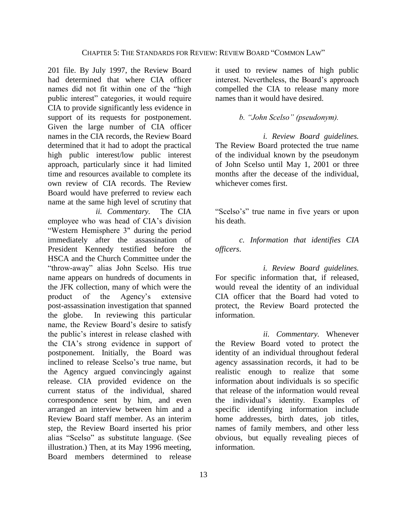201 file. By July 1997, the Review Board had determined that where CIA officer names did not fit within one of the "high public interest" categories, it would require CIA to provide significantly less evidence in support of its requests for postponement. Given the large number of CIA officer names in the CIA records, the Review Board determined that it had to adopt the practical high public interest/low public interest approach, particularly since it had limited time and resources available to complete its own review of CIA records. The Review Board would have preferred to review each name at the same high level of scrutiny that

*ii. Commentary.* The CIA employee who was head of CIA's division "Western Hemisphere 3" during the period immediately after the assassination of President Kennedy testified before the HSCA and the Church Committee under the "throw-away" alias John Scelso. His true name appears on hundreds of documents in the JFK collection, many of which were the product of the Agency's extensive post-assassination investigation that spanned the globe. In reviewing this particular name, the Review Board's desire to satisfy the public's interest in release clashed with the CIA's strong evidence in support of postponement. Initially, the Board was inclined to release Scelso's true name, but the Agency argued convincingly against release. CIA provided evidence on the current status of the individual, shared correspondence sent by him, and even arranged an interview between him and a Review Board staff member. As an interim step, the Review Board inserted his prior alias "Scelso" as substitute language. (See illustration.) Then, at its May 1996 meeting, Board members determined to release

it used to review names of high public interest. Nevertheless, the Board's approach compelled the CIA to release many more names than it would have desired.

### *b. "John Scelso" (pseudonym).*

*i. Review Board guidelines.*  The Review Board protected the true name of the individual known by the pseudonym of John Scelso until May 1, 2001 or three months after the decease of the individual, whichever comes first.

"Scelso's" true name in five years or upon his death.

*c. Information that identifies CIA officers*.

*i. Review Board guidelines.* For specific information that, if released, would reveal the identity of an individual CIA officer that the Board had voted to protect, the Review Board protected the information.

*ii. Commentary.* Whenever the Review Board voted to protect the identity of an individual throughout federal agency assassination records, it had to be realistic enough to realize that some information about individuals is so specific that release of the information would reveal the individual's identity. Examples of specific identifying information include home addresses, birth dates, job titles, names of family members, and other less obvious, but equally revealing pieces of information.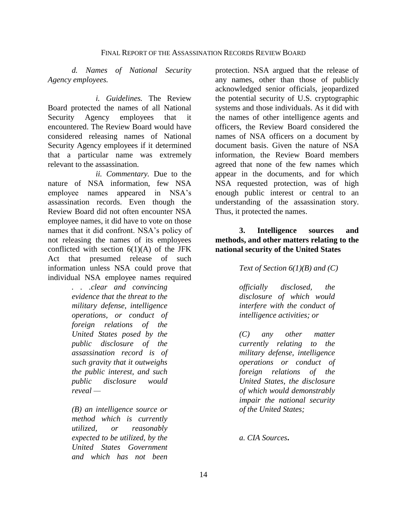*d. Names of National Security Agency employees.*

*i. Guidelines.* The Review Board protected the names of all National Security Agency employees that it encountered. The Review Board would have considered releasing names of National Security Agency employees if it determined that a particular name was extremely relevant to the assassination.

*ii. Commentary.* Due to the nature of NSA information, few NSA employee names appeared in NSA's assassination records. Even though the Review Board did not often encounter NSA employee names, it did have to vote on those names that it did confront. NSA's policy of not releasing the names of its employees conflicted with section  $6(1)(A)$  of the JFK Act that presumed release of such information unless NSA could prove that individual NSA employee names required

> *. . .clear and convincing evidence that the threat to the military defense, intelligence operations, or conduct of foreign relations of the United States posed by the public disclosure of the assassination record is of such gravity that it outweighs the public interest, and such public disclosure would reveal —*

*(B) an intelligence source or method which is currently utilized, or reasonably expected to be utilized, by the United States Government and which has not been* 

protection. NSA argued that the release of any names, other than those of publicly acknowledged senior officials, jeopardized the potential security of U.S. cryptographic systems and those individuals. As it did with the names of other intelligence agents and officers, the Review Board considered the names of NSA officers on a document by document basis. Given the nature of NSA information, the Review Board members agreed that none of the few names which appear in the documents, and for which NSA requested protection, was of high enough public interest or central to an understanding of the assassination story. Thus, it protected the names.

# **3. Intelligence sources and methods, and other matters relating to the national security of the United States**

*Text of Section 6(1)(B) and (C)*

*officially disclosed, the disclosure of which would interfere with the conduct of intelligence activities; or*

*(C) any other matter currently relating to the military defense, intelligence operations or conduct of foreign relations of the United States, the disclosure of which would demonstrably impair the national security of the United States;*

*a. CIA Sources***.**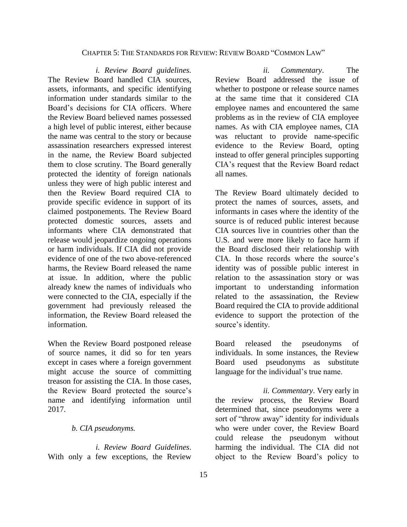### CHAPTER 5: THE STANDARDS FOR REVIEW: REVIEW BOARD "COMMON LAW"

*i. Review Board guidelines.*  The Review Board handled CIA sources, assets, informants, and specific identifying information under standards similar to the Board's decisions for CIA officers. Where the Review Board believed names possessed a high level of public interest, either because the name was central to the story or because assassination researchers expressed interest in the name, the Review Board subjected them to close scrutiny. The Board generally protected the identity of foreign nationals unless they were of high public interest and then the Review Board required CIA to provide specific evidence in support of its claimed postponements. The Review Board protected domestic sources, assets and informants where CIA demonstrated that release would jeopardize ongoing operations or harm individuals. If CIA did not provide evidence of one of the two above-referenced harms, the Review Board released the name at issue. In addition, where the public already knew the names of individuals who were connected to the CIA, especially if the government had previously released the information, the Review Board released the information.

When the Review Board postponed release of source names, it did so for ten years except in cases where a foreign government might accuse the source of committing treason for assisting the CIA. In those cases, the Review Board protected the source's name and identifying information until 2017.

*b. CIA pseudonyms.*

*i. Review Board Guidelines*. With only a few exceptions, the Review

*ii. Commentary*. The Review Board addressed the issue of whether to postpone or release source names at the same time that it considered CIA employee names and encountered the same problems as in the review of CIA employee names. As with CIA employee names, CIA was reluctant to provide name-specific evidence to the Review Board, opting instead to offer general principles supporting CIA's request that the Review Board redact all names.

The Review Board ultimately decided to protect the names of sources, assets, and informants in cases where the identity of the source is of reduced public interest because CIA sources live in countries other than the U.S. and were more likely to face harm if the Board disclosed their relationship with CIA. In those records where the source's identity was of possible public interest in relation to the assassination story or was important to understanding information related to the assassination, the Review Board required the CIA to provide additional evidence to support the protection of the source's identity.

Board released the pseudonyms of individuals. In some instances, the Review Board used pseudonyms as substitute language for the individual's true name.

*ii. Commentary*. Very early in the review process, the Review Board determined that, since pseudonyms were a sort of "throw away" identity for individuals who were under cover, the Review Board could release the pseudonym without harming the individual. The CIA did not object to the Review Board's policy to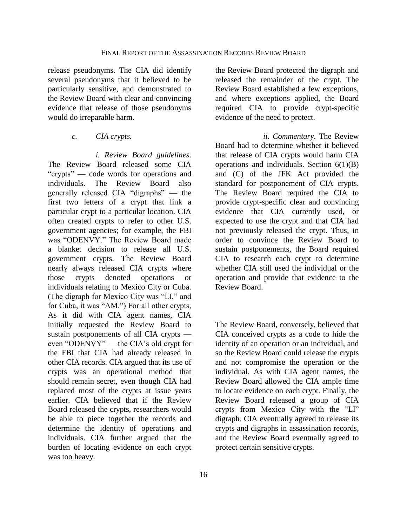release pseudonyms. The CIA did identify several pseudonyms that it believed to be particularly sensitive, and demonstrated to the Review Board with clear and convincing evidence that release of those pseudonyms would do irreparable harm.

#### *c. CIA crypts.*

*i. Review Board guidelines*. The Review Board released some CIA "crypts" — code words for operations and individuals. The Review Board also generally released CIA "digraphs" — the first two letters of a crypt that link a particular crypt to a particular location. CIA often created crypts to refer to other U.S. government agencies; for example, the FBI was "ODENVY." The Review Board made a blanket decision to release all U.S. government crypts. The Review Board nearly always released CIA crypts where those crypts denoted operations or individuals relating to Mexico City or Cuba. (The digraph for Mexico City was "LI," and for Cuba, it was "AM.") For all other crypts, As it did with CIA agent names, CIA initially requested the Review Board to sustain postponements of all CIA crypts even "ODENVY" — the CIA's old crypt for the FBI that CIA had already released in other CIA records. CIA argued that its use of crypts was an operational method that should remain secret, even though CIA had replaced most of the crypts at issue years earlier. CIA believed that if the Review Board released the crypts, researchers would be able to piece together the records and determine the identity of operations and individuals. CIA further argued that the burden of locating evidence on each crypt was too heavy.

the Review Board protected the digraph and released the remainder of the crypt. The Review Board established a few exceptions, and where exceptions applied, the Board required CIA to provide crypt-specific evidence of the need to protect.

*ii. Commentary*. The Review Board had to determine whether it believed that release of CIA crypts would harm CIA operations and individuals. Section 6(1)(B) and (C) of the JFK Act provided the standard for postponement of CIA crypts. The Review Board required the CIA to provide crypt-specific clear and convincing evidence that CIA currently used, or expected to use the crypt and that CIA had not previously released the crypt. Thus, in order to convince the Review Board to sustain postponements, the Board required CIA to research each crypt to determine whether CIA still used the individual or the operation and provide that evidence to the Review Board.

The Review Board, conversely, believed that CIA conceived crypts as a code to hide the identity of an operation or an individual, and so the Review Board could release the crypts and not compromise the operation or the individual. As with CIA agent names, the Review Board allowed the CIA ample time to locate evidence on each crypt. Finally, the Review Board released a group of CIA crypts from Mexico City with the "LI" digraph. CIA eventually agreed to release its crypts and digraphs in assassination records, and the Review Board eventually agreed to protect certain sensitive crypts.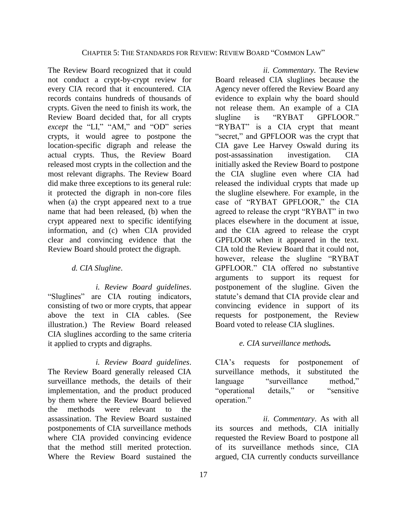The Review Board recognized that it could not conduct a crypt-by-crypt review for every CIA record that it encountered. CIA records contains hundreds of thousands of crypts. Given the need to finish its work, the Review Board decided that, for all crypts *except* the "LI," "AM," and "OD" series crypts, it would agree to postpone the location-specific digraph and release the actual crypts. Thus, the Review Board released most crypts in the collection and the most relevant digraphs. The Review Board did make three exceptions to its general rule: it protected the digraph in non-core files when (a) the crypt appeared next to a true name that had been released, (b) when the crypt appeared next to specific identifying information, and (c) when CIA provided clear and convincing evidence that the Review Board should protect the digraph.

### *d. CIA Slugline*.

*i. Review Board guidelines*. "Sluglines" are CIA routing indicators, consisting of two or more crypts, that appear above the text in CIA cables. (See illustration.) The Review Board released CIA sluglines according to the same criteria it applied to crypts and digraphs.

*i. Review Board guidelines*. The Review Board generally released CIA surveillance methods, the details of their implementation, and the product produced by them where the Review Board believed the methods were relevant to the assassination. The Review Board sustained postponements of CIA surveillance methods where CIA provided convincing evidence that the method still merited protection. Where the Review Board sustained the

*ii. Commentary*. The Review Board released CIA sluglines because the Agency never offered the Review Board any evidence to explain why the board should not release them. An example of a CIA slugline is "RYBAT GPFLOOR." "RYBAT" is a CIA crypt that meant "secret," and GPFLOOR was the crypt that CIA gave Lee Harvey Oswald during its post-assassination investigation. CIA initially asked the Review Board to postpone the CIA slugline even where CIA had released the individual crypts that made up the slugline elsewhere. For example, in the case of "RYBAT GPFLOOR," the CIA agreed to release the crypt "RYBAT" in two places elsewhere in the document at issue, and the CIA agreed to release the crypt GPFLOOR when it appeared in the text. CIA told the Review Board that it could not, however, release the slugline "RYBAT GPFLOOR." CIA offered no substantive arguments to support its request for postponement of the slugline. Given the statute's demand that CIA provide clear and convincing evidence in support of its requests for postponement, the Review Board voted to release CIA sluglines.

### *e. CIA surveillance methods.*

CIA's requests for postponement of surveillance methods, it substituted the language "surveillance method," "operational details," or "sensitive operation."

*ii. Commentary*. As with all its sources and methods, CIA initially requested the Review Board to postpone all of its surveillance methods since, CIA argued, CIA currently conducts surveillance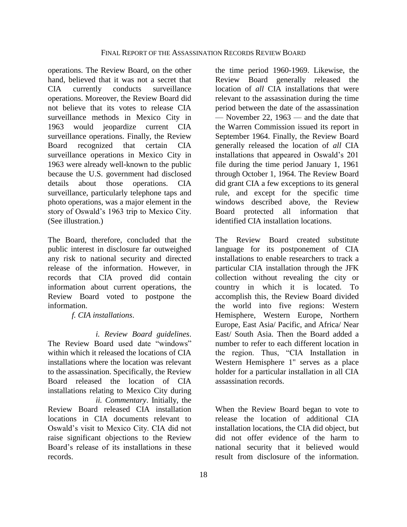operations. The Review Board, on the other hand, believed that it was not a secret that CIA currently conducts surveillance operations. Moreover, the Review Board did not believe that its votes to release CIA surveillance methods in Mexico City in 1963 would jeopardize current CIA surveillance operations. Finally, the Review Board recognized that certain CIA surveillance operations in Mexico City in 1963 were already well-known to the public because the U.S. government had disclosed details about those operations. CIA surveillance, particularly telephone taps and photo operations, was a major element in the story of Oswald's 1963 trip to Mexico City. (See illustration.)

The Board, therefore, concluded that the public interest in disclosure far outweighed any risk to national security and directed release of the information. However, in records that CIA proved did contain information about current operations, the Review Board voted to postpone the information.

*f. CIA installations*.

*i. Review Board guidelines*. The Review Board used date "windows" within which it released the locations of CIA installations where the location was relevant to the assassination. Specifically, the Review Board released the location of CIA installations relating to Mexico City during *ii. Commentary*. Initially, the

Review Board released CIA installation locations in CIA documents relevant to Oswald's visit to Mexico City. CIA did not raise significant objections to the Review Board's release of its installations in these records.

the time period 1960-1969. Likewise, the Review Board generally released the location of *all* CIA installations that were relevant to the assassination during the time period between the date of the assassination — November 22, 1963 — and the date that the Warren Commission issued its report in September 1964. Finally, the Review Board generally released the location of *all* CIA installations that appeared in Oswald's 201 file during the time period January 1, 1961 through October 1, 1964. The Review Board did grant CIA a few exceptions to its general rule, and except for the specific time windows described above, the Review Board protected all information that identified CIA installation locations.

The Review Board created substitute language for its postponement of CIA installations to enable researchers to track a particular CIA installation through the JFK collection without revealing the city or country in which it is located. To accomplish this, the Review Board divided the world into five regions: Western Hemisphere, Western Europe, Northern Europe, East Asia/ Pacific, and Africa/ Near East/ South Asia. Then the Board added a number to refer to each different location in the region. Thus, "CIA Installation in Western Hemisphere 1" serves as a place holder for a particular installation in all CIA assassination records.

When the Review Board began to vote to release the location of additional CIA installation locations, the CIA did object, but did not offer evidence of the harm to national security that it believed would result from disclosure of the information.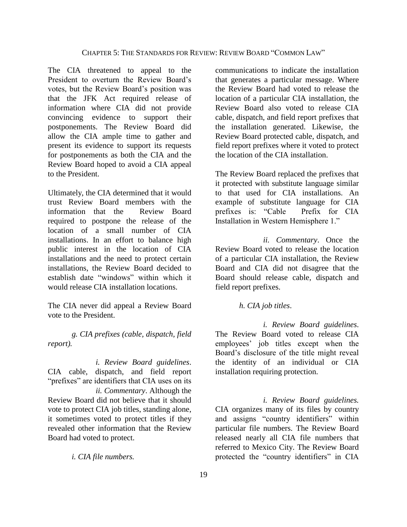The CIA threatened to appeal to the President to overturn the Review Board's votes, but the Review Board's position was that the JFK Act required release of information where CIA did not provide convincing evidence to support their postponements. The Review Board did allow the CIA ample time to gather and present its evidence to support its requests for postponements as both the CIA and the Review Board hoped to avoid a CIA appeal to the President.

Ultimately, the CIA determined that it would trust Review Board members with the information that the Review Board required to postpone the release of the location of a small number of CIA installations. In an effort to balance high public interest in the location of CIA installations and the need to protect certain installations, the Review Board decided to establish date "windows" within which it would release CIA installation locations.

The CIA never did appeal a Review Board vote to the President.

*g. CIA prefixes (cable, dispatch, field report).*

*i. Review Board guidelines*. CIA cable, dispatch, and field report "prefixes" are identifiers that CIA uses on its

*ii. Commentary*. Although the Review Board did not believe that it should vote to protect CIA job titles, standing alone, it sometimes voted to protect titles if they revealed other information that the Review Board had voted to protect.

*i. CIA file numbers.*

communications to indicate the installation that generates a particular message. Where the Review Board had voted to release the location of a particular CIA installation, the Review Board also voted to release CIA cable, dispatch, and field report prefixes that the installation generated. Likewise, the Review Board protected cable, dispatch, and field report prefixes where it voted to protect the location of the CIA installation.

The Review Board replaced the prefixes that it protected with substitute language similar to that used for CIA installations. An example of substitute language for CIA prefixes is: "Cable Prefix for CIA Installation in Western Hemisphere 1."

*ii. Commentary*. Once the Review Board voted to release the location of a particular CIA installation, the Review Board and CIA did not disagree that the Board should release cable, dispatch and field report prefixes.

### *h. CIA job titles*.

*i. Review Board guidelines*. The Review Board voted to release CIA employees' job titles except when the Board's disclosure of the title might reveal the identity of an individual or CIA installation requiring protection.

*i. Review Board guidelines.* CIA organizes many of its files by country and assigns "country identifiers" within particular file numbers. The Review Board released nearly all CIA file numbers that referred to Mexico City. The Review Board protected the "country identifiers" in CIA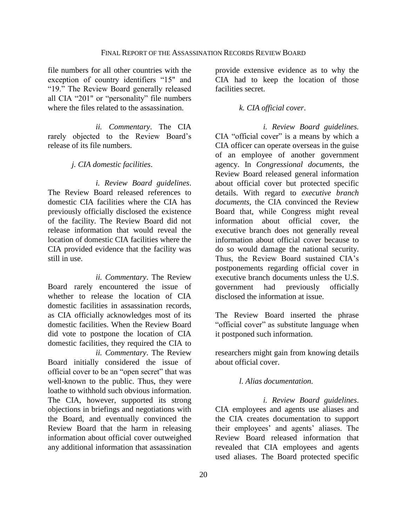file numbers for all other countries with the exception of country identifiers "15" and "19." The Review Board generally released all CIA "201" or "personality" file numbers where the files related to the assassination.

*ii. Commentary*. The CIA rarely objected to the Review Board's release of its file numbers.

*j. CIA domestic facilities*.

*i. Review Board guidelines*. The Review Board released references to domestic CIA facilities where the CIA has previously officially disclosed the existence of the facility. The Review Board did not release information that would reveal the location of domestic CIA facilities where the CIA provided evidence that the facility was still in use.

*ii. Commentary*. The Review Board rarely encountered the issue of whether to release the location of CIA domestic facilities in assassination records, as CIA officially acknowledges most of its domestic facilities. When the Review Board did vote to postpone the location of CIA domestic facilities, they required the CIA to

*ii. Commentary*. The Review Board initially considered the issue of official cover to be an "open secret" that was well-known to the public. Thus, they were loathe to withhold such obvious information. The CIA, however, supported its strong objections in briefings and negotiations with the Board, and eventually convinced the Review Board that the harm in releasing information about official cover outweighed any additional information that assassination

provide extensive evidence as to why the CIA had to keep the location of those facilities secret.

### *k. CIA official cover*.

*i. Review Board guidelines.* CIA "official cover" is a means by which a CIA officer can operate overseas in the guise of an employee of another government agency. In *Congressional documents*, the Review Board released general information about official cover but protected specific details. With regard to *executive branch documents,* the CIA convinced the Review Board that, while Congress might reveal information about official cover, the executive branch does not generally reveal information about official cover because to do so would damage the national security. Thus, the Review Board sustained CIA's postponements regarding official cover in executive branch documents unless the U.S. government had previously officially disclosed the information at issue.

The Review Board inserted the phrase "official cover" as substitute language when it postponed such information.

researchers might gain from knowing details about official cover.

#### *l. Alias documentation.*

*i. Review Board guidelines*. CIA employees and agents use aliases and the CIA creates documentation to support their employees' and agents' aliases. The Review Board released information that revealed that CIA employees and agents used aliases. The Board protected specific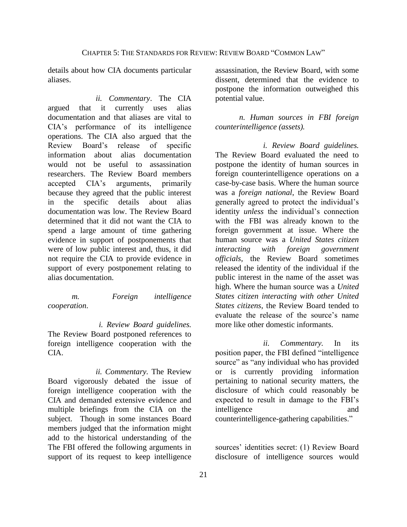details about how CIA documents particular aliases.

*ii. Commentary*. The CIA argued that it currently uses alias documentation and that aliases are vital to CIA's performance of its intelligence operations. The CIA also argued that the Review Board's release of specific information about alias documentation would not be useful to assassination researchers. The Review Board members accepted CIA's arguments, primarily because they agreed that the public interest in the specific details about alias documentation was low. The Review Board determined that it did not want the CIA to spend a large amount of time gathering evidence in support of postponements that were of low public interest and, thus, it did not require the CIA to provide evidence in support of every postponement relating to alias documentation.

*m. Foreign intelligence cooperation*.

*i. Review Board guidelines.* The Review Board postponed references to foreign intelligence cooperation with the CIA.

*ii. Commentary.* The Review Board vigorously debated the issue of foreign intelligence cooperation with the CIA and demanded extensive evidence and multiple briefings from the CIA on the subject. Though in some instances Board members judged that the information might add to the historical understanding of the The FBI offered the following arguments in support of its request to keep intelligence

assassination, the Review Board, with some dissent, determined that the evidence to postpone the information outweighed this potential value.

*n. Human sources in FBI foreign counterintelligence (assets).*

*i. Review Board guidelines.*  The Review Board evaluated the need to postpone the identity of human sources in foreign counterintelligence operations on a case-by-case basis. Where the human source was a *foreign national*, the Review Board generally agreed to protect the individual's identity *unless* the individual's connection with the FBI was already known to the foreign government at issue. Where the human source was a *United States citizen interacting with foreign government officials,* the Review Board sometimes released the identity of the individual if the public interest in the name of the asset was high. Where the human source was a *United States citizen interacting with other United States citizens*, the Review Board tended to evaluate the release of the source's name more like other domestic informants.

*ii. Commentary.* In its position paper, the FBI defined "intelligence source" as "any individual who has provided or is currently providing information pertaining to national security matters, the disclosure of which could reasonably be expected to result in damage to the FBI's intelligence and counterintelligence-gathering capabilities."

sources' identities secret: (1) Review Board disclosure of intelligence sources would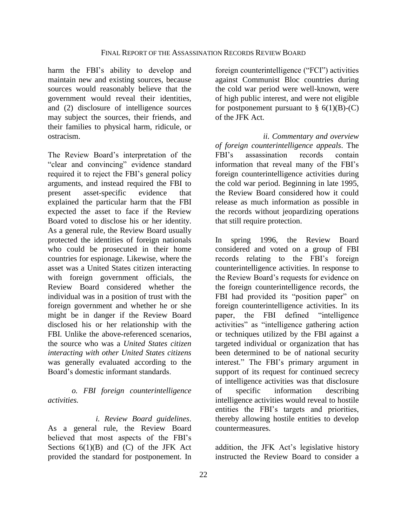harm the FBI's ability to develop and maintain new and existing sources, because sources would reasonably believe that the government would reveal their identities, and (2) disclosure of intelligence sources may subject the sources, their friends, and their families to physical harm, ridicule, or ostracism.

The Review Board's interpretation of the "clear and convincing" evidence standard required it to reject the FBI's general policy arguments, and instead required the FBI to present asset-specific evidence that explained the particular harm that the FBI expected the asset to face if the Review Board voted to disclose his or her identity. As a general rule, the Review Board usually protected the identities of foreign nationals who could be prosecuted in their home countries for espionage. Likewise, where the asset was a United States citizen interacting with foreign government officials, the Review Board considered whether the individual was in a position of trust with the foreign government and whether he or she might be in danger if the Review Board disclosed his or her relationship with the FBI. Unlike the above-referenced scenarios, the source who was a *United States citizen interacting with other United States citizens*  was generally evaluated according to the Board's domestic informant standards.

### *o. FBI foreign counterintelligence activities.*

*i. Review Board guidelines*. As a general rule, the Review Board believed that most aspects of the FBI's Sections  $6(1)(B)$  and  $(C)$  of the JFK Act provided the standard for postponement. In foreign counterintelligence ("FCI") activities against Communist Bloc countries during the cold war period were well-known, were of high public interest, and were not eligible for postponement pursuant to  $\S(6(1)(B)-C)$ of the JFK Act.

*ii. Commentary and overview of foreign counterintelligence appeals*. The FBI's assassination records contain information that reveal many of the FBI's foreign counterintelligence activities during the cold war period. Beginning in late 1995, the Review Board considered how it could release as much information as possible in the records without jeopardizing operations that still require protection.

In spring 1996, the Review Board considered and voted on a group of FBI records relating to the FBI's foreign counterintelligence activities. In response to the Review Board's requests for evidence on the foreign counterintelligence records, the FBI had provided its "position paper" on foreign counterintelligence activities. In its paper, the FBI defined "intelligence activities" as "intelligence gathering action or techniques utilized by the FBI against a targeted individual or organization that has been determined to be of national security interest." The FBI's primary argument in support of its request for continued secrecy of intelligence activities was that disclosure of specific information describing intelligence activities would reveal to hostile entities the FBI's targets and priorities, thereby allowing hostile entities to develop countermeasures.

addition, the JFK Act's legislative history instructed the Review Board to consider a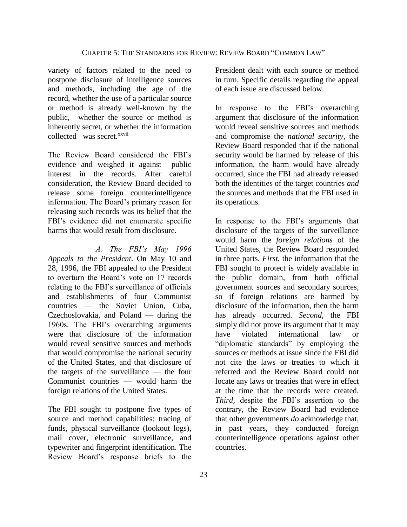variety of factors related to the need to postpone disclosure of intelligence sources and methods, including the age of the record, whether the use of a particular source or method is already well-known by the public, whether the source or method is inherently secret, or whether the information collected was secret.xxvii

The Review Board considered the FBI's evidence and weighed it against public interest in the records. After careful consideration, the Review Board decided to release some foreign counterintelligence information. The Board's primary reason for releasing such records was its belief that the FBI's evidence did not enumerate specific harms that would result from disclosure.

*A. The FBI's May 1996 Appeals to the President*. On May 10 and 28, 1996, the FBI appealed to the President to overturn the Board's vote on 17 records relating to the FBI's surveillance of officials and establishments of four Communist countries — the Soviet Union, Cuba, Czechoslovakia, and Poland — during the 1960s. The FBI's overarching arguments were that disclosure of the information would reveal sensitive sources and methods that would compromise the national security of the United States, and that disclosure of the targets of the surveillance — the four Communist countries — would harm the foreign relations of the United States.

The FBI sought to postpone five types of source and method capabilities: tracing of funds, physical surveillance (lookout logs), mail cover, electronic surveillance, and typewriter and fingerprint identification. The Review Board's response briefs to the

President dealt with each source or method in turn. Specific details regarding the appeal of each issue are discussed below.

In response to the FBI's overarching argument that disclosure of the information would reveal sensitive sources and methods and compromise the *national security*, the Review Board responded that if the national security would be harmed by release of this information, the harm would have already occurred, since the FBI had already released both the identities of the target countries *and* the sources and methods that the FBI used in its operations.

In response to the FBI's arguments that disclosure of the targets of the surveillance would harm the *foreign relations* of the United States, the Review Board responded in three parts. *First*, the information that the FBI sought to protect is widely available in the public domain, from both official government sources and secondary sources, so if foreign relations are harmed by disclosure of the information, then the harm has already occurred. *Second,* the FBI simply did not prove its argument that it may have violated international law or "diplomatic standards" by employing the sources or methods at issue since the FBI did not cite the laws or treaties to which it referred and the Review Board could not locate any laws or treaties that were in effect at the time that the records were created. *Third*, despite the FBI's assertion to the contrary, the Review Board had evidence that other governments *do* acknowledge that, in past years, they conducted foreign counterintelligence operations against other countries.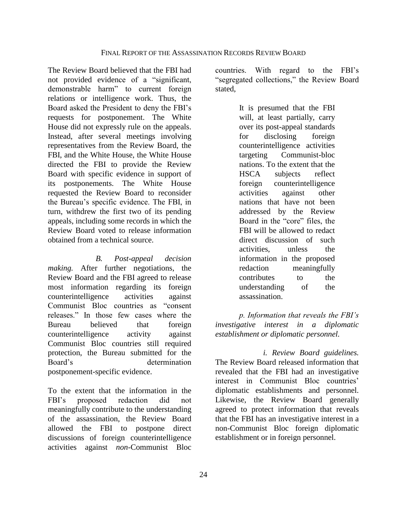The Review Board believed that the FBI had not provided evidence of a "significant, demonstrable harm" to current foreign relations or intelligence work. Thus, the Board asked the President to deny the FBI's requests for postponement. The White House did not expressly rule on the appeals. Instead, after several meetings involving representatives from the Review Board, the FBI, and the White House, the White House directed the FBI to provide the Review Board with specific evidence in support of its postponements. The White House requested the Review Board to reconsider the Bureau's specific evidence. The FBI, in turn, withdrew the first two of its pending appeals, including some records in which the Review Board voted to release information obtained from a technical source.

*B. Post-appeal decision making.* After further negotiations, the Review Board and the FBI agreed to release most information regarding its foreign counterintelligence activities against Communist Bloc countries as "consent releases." In those few cases where the Bureau believed that foreign counterintelligence activity against Communist Bloc countries still required protection, the Bureau submitted for the Board's determination postponement-specific evidence.

To the extent that the information in the FBI's proposed redaction did not meaningfully contribute to the understanding of the assassination, the Review Board allowed the FBI to postpone direct discussions of foreign counterintelligence activities against *non*-Communist Bloc

countries. With regard to the FBI's "segregated collections," the Review Board stated,

> It is presumed that the FBI will, at least partially, carry over its post-appeal standards for disclosing foreign counterintelligence activities targeting Communist-bloc nations. To the extent that the HSCA subjects reflect foreign counterintelligence activities against other nations that have not been addressed by the Review Board in the "core" files, the FBI will be allowed to redact direct discussion of such activities, unless the information in the proposed redaction meaningfully contributes to the understanding of the assassination.

*p. Information that reveals the FBI's investigative interest in a diplomatic establishment or diplomatic personnel.*

*i. Review Board guidelines.*  The Review Board released information that revealed that the FBI had an investigative interest in Communist Bloc countries' diplomatic establishments and personnel. Likewise, the Review Board generally agreed to protect information that reveals that the FBI has an investigative interest in a non-Communist Bloc foreign diplomatic establishment or in foreign personnel.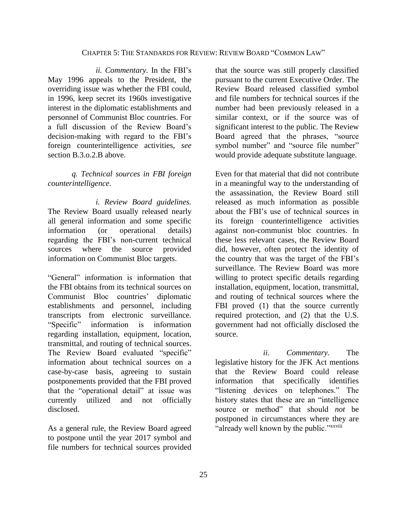# CHAPTER 5: THE STANDARDS FOR REVIEW: REVIEW BOARD "COMMON LAW"

*ii. Commentary.* In the FBI's May 1996 appeals to the President, the overriding issue was whether the FBI could, in 1996, keep secret its 1960s investigative interest in the diplomatic establishments and personnel of Communist Bloc countries. For a full discussion of the Review Board's decision-making with regard to the FBI's foreign counterintelligence activities, *see* section B.3.o.2.B above.

## *q. Technical sources in FBI foreign counterintelligence*.

*i. Review Board guidelines.*  The Review Board usually released nearly all general information and some specific information (or operational details) regarding the FBI's non-current technical sources where the source provided information on Communist Bloc targets.

"General" information is information that the FBI obtains from its technical sources on Communist Bloc countries' diplomatic establishments and personnel, including transcripts from electronic surveillance. "Specific" information is information regarding installation, equipment, location, transmittal, and routing of technical sources. The Review Board evaluated "specific" information about technical sources on a case-by-case basis, agreeing to sustain postponements provided that the FBI proved that the "operational detail" at issue was currently utilized and not officially disclosed.

As a general rule, the Review Board agreed to postpone until the year 2017 symbol and file numbers for technical sources provided that the source was still properly classified pursuant to the current Executive Order. The Review Board released classified symbol and file numbers for technical sources if the number had been previously released in a similar context, or if the source was of significant interest to the public. The Review Board agreed that the phrases, "source symbol number" and "source file number" would provide adequate substitute language.

Even for that material that did not contribute in a meaningful way to the understanding of the assassination, the Review Board still released as much information as possible about the FBI's use of technical sources in its foreign counterintelligence activities against non-communist bloc countries. In these less relevant cases, the Review Board did, however, often protect the identity of the country that was the target of the FBI's surveillance. The Review Board was more willing to protect specific details regarding installation, equipment, location, transmittal, and routing of technical sources where the FBI proved (1) that the source currently required protection, and (2) that the U.S. government had not officially disclosed the source.

*ii. Commentary.* The legislative history for the JFK Act mentions that the Review Board could release information that specifically identifies "listening devices on telephones." The history states that these are an "intelligence source or method" that should *not* be postponed in circumstances where they are "already well known by the public."*xxviii*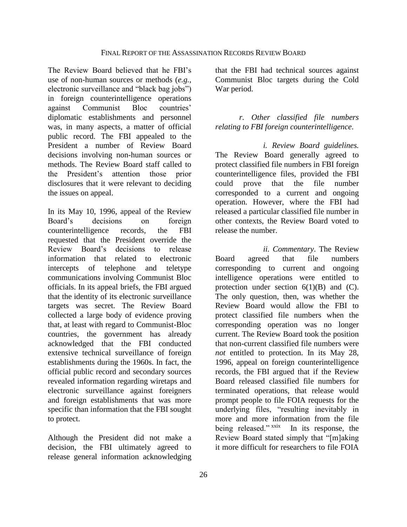The Review Board believed that he FBI's use of non-human sources or methods (*e.g.,*  electronic surveillance and "black bag jobs") in foreign counterintelligence operations against Communist Bloc countries' diplomatic establishments and personnel was, in many aspects, a matter of official public record. The FBI appealed to the President a number of Review Board decisions involving non-human sources or methods. The Review Board staff called to the President's attention those prior disclosures that it were relevant to deciding the issues on appeal.

In its May 10, 1996, appeal of the Review Board's decisions on foreign counterintelligence records, the FBI requested that the President override the Review Board's decisions to release information that related to electronic intercepts of telephone and teletype communications involving Communist Bloc officials. In its appeal briefs, the FBI argued that the identity of its electronic surveillance targets was secret. The Review Board collected a large body of evidence proving that, at least with regard to Communist-Bloc countries, the government has already acknowledged that the FBI conducted extensive technical surveillance of foreign establishments during the 1960s. In fact, the official public record and secondary sources revealed information regarding wiretaps and electronic surveillance against foreigners and foreign establishments that was more specific than information that the FBI sought to protect.

Although the President did not make a decision, the FBI ultimately agreed to release general information acknowledging

that the FBI had technical sources against Communist Bloc targets during the Cold War period.

*r. Other classified file numbers relating to FBI foreign counterintelligence*.

*i. Review Board guidelines.*  The Review Board generally agreed to protect classified file numbers in FBI foreign counterintelligence files, provided the FBI could prove that the file number corresponded to a current and ongoing operation. However, where the FBI had released a particular classified file number in other contexts, the Review Board voted to release the number.

*ii. Commentary*. The Review Board agreed that file numbers corresponding to current and ongoing intelligence operations were entitled to protection under section  $6(1)(B)$  and  $(C)$ . The only question, then, was whether the Review Board would allow the FBI to protect classified file numbers when the corresponding operation was no longer current. The Review Board took the position that non-current classified file numbers were *not* entitled to protection. In its May 28, 1996, appeal on foreign counterintelligence records, the FBI argued that if the Review Board released classified file numbers for terminated operations, that release would prompt people to file FOIA requests for the underlying files, "resulting inevitably in more and more information from the file being released." xxix In its response, the Review Board stated simply that "[m]aking it more difficult for researchers to file FOIA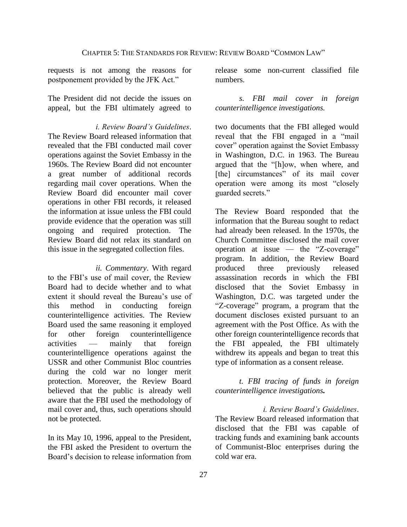requests is not among the reasons for postponement provided by the JFK Act."

The President did not decide the issues on appeal, but the FBI ultimately agreed to

*i. Review Board's Guidelines*. The Review Board released information that revealed that the FBI conducted mail cover operations against the Soviet Embassy in the 1960s. The Review Board did not encounter a great number of additional records regarding mail cover operations. When the Review Board did encounter mail cover operations in other FBI records, it released the information at issue unless the FBI could provide evidence that the operation was still ongoing and required protection. The Review Board did not relax its standard on this issue in the segregated collection files.

*ii. Commentary*. With regard to the FBI's use of mail cover, the Review Board had to decide whether and to what extent it should reveal the Bureau's use of this method in conducting foreign counterintelligence activities. The Review Board used the same reasoning it employed for other foreign counterintelligence activities — mainly that foreign counterintelligence operations against the USSR and other Communist Bloc countries during the cold war no longer merit protection. Moreover, the Review Board believed that the public is already well aware that the FBI used the methodology of mail cover and, thus, such operations should not be protected.

In its May 10, 1996, appeal to the President, the FBI asked the President to overturn the Board's decision to release information from release some non-current classified file numbers.

*s. FBI mail cover in foreign counterintelligence investigations.*

two documents that the FBI alleged would reveal that the FBI engaged in a "mail cover" operation against the Soviet Embassy in Washington, D.C. in 1963. The Bureau argued that the "[h]ow, when where, and [the] circumstances" of its mail cover operation were among its most "closely guarded secrets."

The Review Board responded that the information that the Bureau sought to redact had already been released. In the 1970s, the Church Committee disclosed the mail cover operation at issue — the "Z-coverage" program. In addition, the Review Board produced three previously released assassination records in which the FBI disclosed that the Soviet Embassy in Washington, D.C. was targeted under the "Z-coverage" program, a program that the document discloses existed pursuant to an agreement with the Post Office. As with the other foreign counterintelligence records that the FBI appealed, the FBI ultimately withdrew its appeals and began to treat this type of information as a consent release.

### *t. FBI tracing of funds in foreign counterintelligence investigations.*

*i. Review Board's Guidelines*. The Review Board released information that disclosed that the FBI was capable of tracking funds and examining bank accounts of Communist-Bloc enterprises during the cold war era.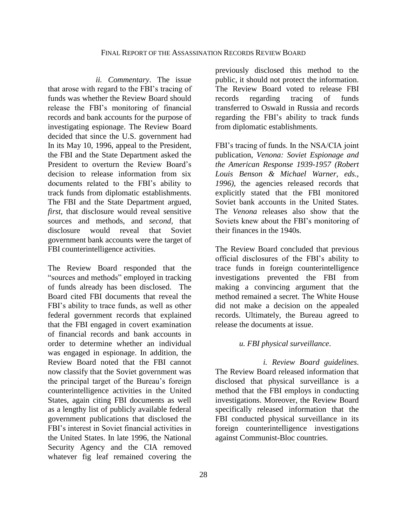#### FINAL REPORT OF THE ASSASSINATION RECORDS REVIEW BOARD

*ii. Commentary*. The issue that arose with regard to the FBI's tracing of funds was whether the Review Board should release the FBI's monitoring of financial records and bank accounts for the purpose of investigating espionage. The Review Board decided that since the U.S. government had In its May 10, 1996, appeal to the President, the FBI and the State Department asked the President to overturn the Review Board's decision to release information from six documents related to the FBI's ability to track funds from diplomatic establishments. The FBI and the State Department argued, *first*, that disclosure would reveal sensitive sources and methods, and *second,* that disclosure would reveal that Soviet government bank accounts were the target of FBI counterintelligence activities.

The Review Board responded that the "sources and methods" employed in tracking of funds already has been disclosed. The Board cited FBI documents that reveal the FBI's ability to trace funds, as well as other federal government records that explained that the FBI engaged in covert examination of financial records and bank accounts in order to determine whether an individual was engaged in espionage. In addition, the Review Board noted that the FBI cannot now classify that the Soviet government was the principal target of the Bureau's foreign counterintelligence activities in the United States, again citing FBI documents as well as a lengthy list of publicly available federal government publications that disclosed the FBI's interest in Soviet financial activities in the United States. In late 1996, the National Security Agency and the CIA removed whatever fig leaf remained covering the

previously disclosed this method to the public, it should not protect the information. The Review Board voted to release FBI records regarding tracing of funds transferred to Oswald in Russia and records regarding the FBI's ability to track funds from diplomatic establishments.

FBI's tracing of funds. In the NSA/CIA joint publication, *Venona: Soviet Espionage and the American Response 1939-1957 (Robert Louis Benson & Michael Warner, eds., 1996),* the agencies released records that explicitly stated that the FBI monitored Soviet bank accounts in the United States. The *Venona* releases also show that the Soviets knew about the FBI's monitoring of their finances in the 1940s.

The Review Board concluded that previous official disclosures of the FBI's ability to trace funds in foreign counterintelligence investigations prevented the FBI from making a convincing argument that the method remained a secret. The White House did not make a decision on the appealed records. Ultimately, the Bureau agreed to release the documents at issue.

#### *u. FBI physical surveillance*.

*i. Review Board guidelines*. The Review Board released information that disclosed that physical surveillance is a method that the FBI employs in conducting investigations. Moreover, the Review Board specifically released information that the FBI conducted physical surveillance in its foreign counterintelligence investigations against Communist-Bloc countries.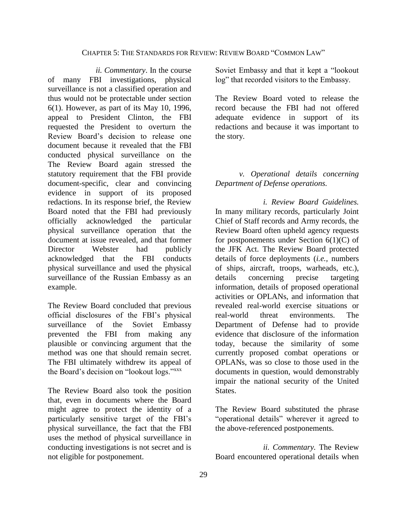# CHAPTER 5: THE STANDARDS FOR REVIEW: REVIEW BOARD "COMMON LAW"

*ii. Commentary*. In the course of many FBI investigations, physical surveillance is not a classified operation and thus would not be protectable under section 6(1). However, as part of its May 10, 1996, appeal to President Clinton, the FBI requested the President to overturn the Review Board's decision to release one document because it revealed that the FBI conducted physical surveillance on the The Review Board again stressed the statutory requirement that the FBI provide document-specific, clear and convincing evidence in support of its proposed redactions. In its response brief, the Review Board noted that the FBI had previously officially acknowledged the particular physical surveillance operation that the document at issue revealed, and that former Director Webster had publicly acknowledged that the FBI conducts physical surveillance and used the physical surveillance of the Russian Embassy as an example.

The Review Board concluded that previous official disclosures of the FBI's physical surveillance of the Soviet Embassy prevented the FBI from making any plausible or convincing argument that the method was one that should remain secret. The FBI ultimately withdrew its appeal of the Board's decision on "lookout logs."xxx

The Review Board also took the position that, even in documents where the Board might agree to protect the identity of a particularly sensitive target of the FBI's physical surveillance, the fact that the FBI uses the method of physical surveillance in conducting investigations is not secret and is not eligible for postponement.

Soviet Embassy and that it kept a "lookout log" that recorded visitors to the Embassy.

The Review Board voted to release the record because the FBI had not offered adequate evidence in support of its redactions and because it was important to the story.

*v. Operational details concerning Department of Defense operations.*

*i. Review Board Guidelines.*  In many military records, particularly Joint Chief of Staff records and Army records, the Review Board often upheld agency requests for postponements under Section  $6(1)(C)$  of the JFK Act. The Review Board protected details of force deployments (*i.e.,* numbers of ships, aircraft, troops, warheads, etc.), details concerning precise targeting information, details of proposed operational activities or OPLANs, and information that revealed real-world exercise situations or real-world threat environments. The Department of Defense had to provide evidence that disclosure of the information today, because the similarity of some currently proposed combat operations or OPLANs, was so close to those used in the documents in question, would demonstrably impair the national security of the United **States** 

The Review Board substituted the phrase "operational details" wherever it agreed to the above-referenced postponements.

*ii. Commentary.* The Review Board encountered operational details when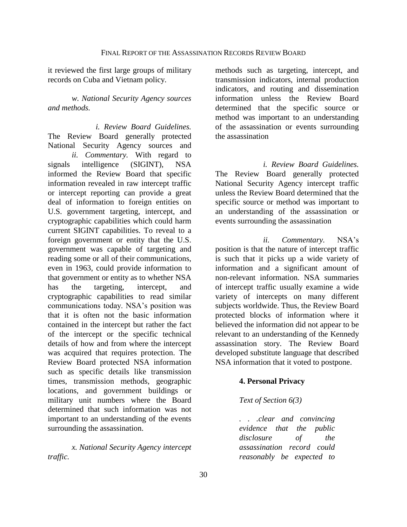it reviewed the first large groups of military records on Cuba and Vietnam policy.

*w. National Security Agency sources and methods.*

*i. Review Board Guidelines.*  The Review Board generally protected National Security Agency sources and *ii. Commentary.* With regard to signals intelligence (SIGINT), NSA informed the Review Board that specific information revealed in raw intercept traffic or intercept reporting can provide a great deal of information to foreign entities on U.S. government targeting, intercept, and cryptographic capabilities which could harm current SIGINT capabilities. To reveal to a foreign government or entity that the U.S. government was capable of targeting and reading some or all of their communications, even in 1963, could provide information to that government or entity as to whether NSA has the targeting, intercept, and cryptographic capabilities to read similar communications today. NSA's position was that it is often not the basic information contained in the intercept but rather the fact of the intercept or the specific technical details of how and from where the intercept was acquired that requires protection. The Review Board protected NSA information such as specific details like transmission times, transmission methods, geographic locations, and government buildings or military unit numbers where the Board determined that such information was not important to an understanding of the events surrounding the assassination.

*x. National Security Agency intercept traffic.*

methods such as targeting, intercept, and transmission indicators, internal production indicators, and routing and dissemination information unless the Review Board determined that the specific source or method was important to an understanding of the assassination or events surrounding the assassination

*i. Review Board Guidelines.*  The Review Board generally protected National Security Agency intercept traffic unless the Review Board determined that the specific source or method was important to an understanding of the assassination or events surrounding the assassination

*ii. Commentary.* NSA's position is that the nature of intercept traffic is such that it picks up a wide variety of information and a significant amount of non-relevant information. NSA summaries of intercept traffic usually examine a wide variety of intercepts on many different subjects worldwide. Thus, the Review Board protected blocks of information where it believed the information did not appear to be relevant to an understanding of the Kennedy assassination story. The Review Board developed substitute language that described NSA information that it voted to postpone.

### **4. Personal Privacy**

#### *Text of Section 6(3)*

*. . .clear and convincing evidence that the public disclosure of the assassination record could reasonably be expected to*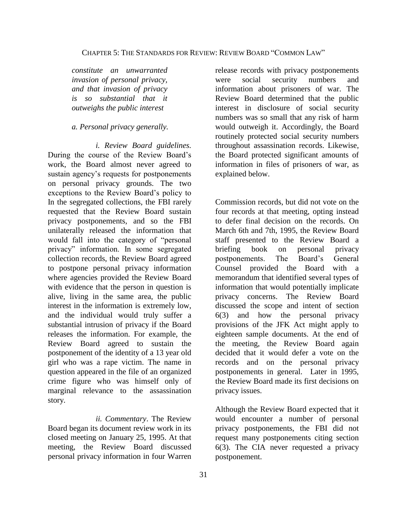*constitute an unwarranted invasion of personal privacy, and that invasion of privacy is so substantial that it outweighs the public interest*

#### *a. Personal privacy generally.*

*i. Review Board guidelines.* During the course of the Review Board's work, the Board almost never agreed to sustain agency's requests for postponements on personal privacy grounds. The two exceptions to the Review Board's policy to In the segregated collections, the FBI rarely requested that the Review Board sustain privacy postponements, and so the FBI unilaterally released the information that would fall into the category of "personal privacy" information. In some segregated collection records, the Review Board agreed to postpone personal privacy information where agencies provided the Review Board with evidence that the person in question is alive, living in the same area, the public interest in the information is extremely low, and the individual would truly suffer a substantial intrusion of privacy if the Board releases the information. For example, the Review Board agreed to sustain the postponement of the identity of a 13 year old girl who was a rape victim. The name in question appeared in the file of an organized crime figure who was himself only of marginal relevance to the assassination story.

*ii. Commentary*. The Review Board began its document review work in its closed meeting on January 25, 1995. At that meeting, the Review Board discussed personal privacy information in four Warren release records with privacy postponements were social security numbers and information about prisoners of war. The Review Board determined that the public interest in disclosure of social security numbers was so small that any risk of harm would outweigh it. Accordingly, the Board routinely protected social security numbers throughout assassination records. Likewise, the Board protected significant amounts of information in files of prisoners of war, as explained below.

Commission records, but did not vote on the four records at that meeting, opting instead to defer final decision on the records. On March 6th and 7th, 1995, the Review Board staff presented to the Review Board a briefing book on personal privacy postponements. The Board's General Counsel provided the Board with a memorandum that identified several types of information that would potentially implicate privacy concerns. The Review Board discussed the scope and intent of section 6(3) and how the personal privacy provisions of the JFK Act might apply to eighteen sample documents. At the end of the meeting, the Review Board again decided that it would defer a vote on the records and on the personal privacy postponements in general. Later in 1995, the Review Board made its first decisions on privacy issues.

Although the Review Board expected that it would encounter a number of personal privacy postponements, the FBI did not request many postponements citing section 6(3). The CIA never requested a privacy postponement.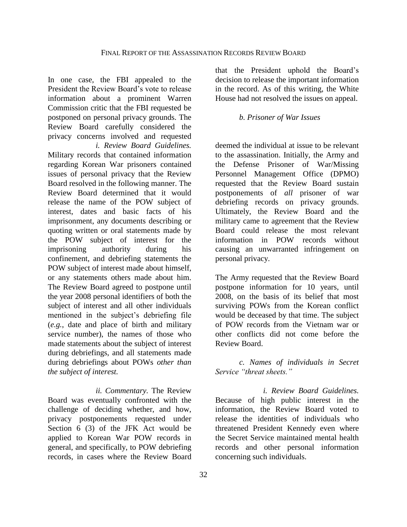In one case, the FBI appealed to the President the Review Board's vote to release information about a prominent Warren Commission critic that the FBI requested be postponed on personal privacy grounds. The Review Board carefully considered the privacy concerns involved and requested

*i. Review Board Guidelines.*  Military records that contained information regarding Korean War prisoners contained issues of personal privacy that the Review Board resolved in the following manner. The Review Board determined that it would release the name of the POW subject of interest, dates and basic facts of his imprisonment, any documents describing or quoting written or oral statements made by the POW subject of interest for the imprisoning authority during his confinement, and debriefing statements the POW subject of interest made about himself, or any statements others made about him. The Review Board agreed to postpone until the year 2008 personal identifiers of both the subject of interest and all other individuals mentioned in the subject's debriefing file (*e.g.*, date and place of birth and military service number), the names of those who made statements about the subject of interest during debriefings, and all statements made during debriefings about POWs *other than the subject of interest.*

*ii. Commentary.* The Review Board was eventually confronted with the challenge of deciding whether, and how, privacy postponements requested under Section 6 (3) of the JFK Act would be applied to Korean War POW records in general, and specifically, to POW debriefing records, in cases where the Review Board that the President uphold the Board's decision to release the important information in the record. As of this writing, the White House had not resolved the issues on appeal.

#### *b. Prisoner of War Issues*

deemed the individual at issue to be relevant to the assassination. Initially, the Army and the Defense Prisoner of War/Missing Personnel Management Office (DPMO) requested that the Review Board sustain postponements of *all* prisoner of war debriefing records on privacy grounds. Ultimately, the Review Board and the military came to agreement that the Review Board could release the most relevant information in POW records without causing an unwarranted infringement on personal privacy.

The Army requested that the Review Board postpone information for 10 years, until 2008, on the basis of its belief that most surviving POWs from the Korean conflict would be deceased by that time. The subject of POW records from the Vietnam war or other conflicts did not come before the Review Board.

*c. Names of individuals in Secret Service "threat sheets."*

*i. Review Board Guidelines.*  Because of high public interest in the information, the Review Board voted to release the identities of individuals who threatened President Kennedy even where the Secret Service maintained mental health records and other personal information concerning such individuals.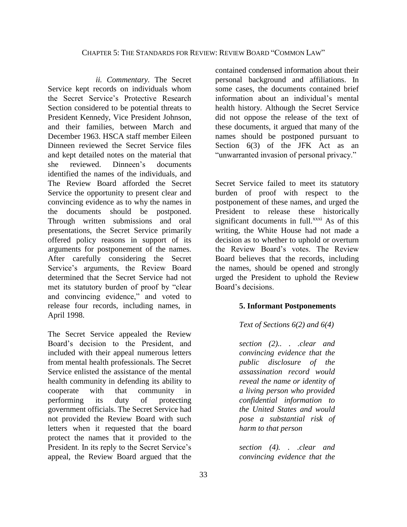*ii. Commentary.* The Secret Service kept records on individuals whom the Secret Service's Protective Research Section considered to be potential threats to President Kennedy, Vice President Johnson, and their families, between March and December 1963. HSCA staff member Eileen Dinneen reviewed the Secret Service files and kept detailed notes on the material that she reviewed. Dinneen's documents identified the names of the individuals, and The Review Board afforded the Secret Service the opportunity to present clear and convincing evidence as to why the names in the documents should be postponed. Through written submissions and oral presentations, the Secret Service primarily offered policy reasons in support of its arguments for postponement of the names. After carefully considering the Secret Service's arguments, the Review Board determined that the Secret Service had not met its statutory burden of proof by "clear and convincing evidence," and voted to release four records, including names, in April 1998.

The Secret Service appealed the Review Board's decision to the President, and included with their appeal numerous letters from mental health professionals. The Secret Service enlisted the assistance of the mental health community in defending its ability to cooperate with that community in performing its duty of protecting government officials. The Secret Service had not provided the Review Board with such letters when it requested that the board protect the names that it provided to the President. In its reply to the Secret Service's appeal, the Review Board argued that the

contained condensed information about their personal background and affiliations. In some cases, the documents contained brief information about an individual's mental health history. Although the Secret Service did not oppose the release of the text of these documents, it argued that many of the names should be postponed pursuant to Section  $6(3)$  of the JFK Act as an "unwarranted invasion of personal privacy."

Secret Service failed to meet its statutory burden of proof with respect to the postponement of these names, and urged the President to release these historically significant documents in full. $x$ <sup>xxxi</sup> As of this writing, the White House had not made a decision as to whether to uphold or overturn the Review Board's votes. The Review Board believes that the records, including the names, should be opened and strongly urged the President to uphold the Review Board's decisions.

### **5. Informant Postponements**

### *Text of Sections 6(2) and 6(4)*

*section (2).. . .clear and convincing evidence that the public disclosure of the assassination record would reveal the name or identity of a living person who provided confidential information to the United States and would pose a substantial risk of harm to that person*

*section (4). . .clear and convincing evidence that the*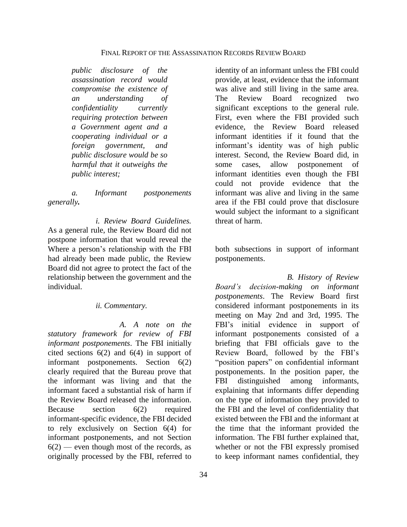*public disclosure of the assassination record would compromise the existence of an understanding of confidentiality currently requiring protection between a Government agent and a cooperating individual or a foreign government, and public disclosure would be so harmful that it outweighs the public interest;*

*a. Informant postponements generally.*

*i. Review Board Guidelines.*  As a general rule, the Review Board did not postpone information that would reveal the Where a person's relationship with the FBI had already been made public, the Review Board did not agree to protect the fact of the relationship between the government and the individual.

*ii. Commentary.*

*A. A note on the statutory framework for review of FBI informant postponements*. The FBI initially cited sections 6(2) and 6(4) in support of informant postponements. Section 6(2) clearly required that the Bureau prove that the informant was living and that the informant faced a substantial risk of harm if the Review Board released the information. Because section 6(2) required informant-specific evidence, the FBI decided to rely exclusively on Section 6(4) for informant postponements, and not Section  $6(2)$  — even though most of the records, as originally processed by the FBI, referred to

identity of an informant unless the FBI could provide, at least, evidence that the informant was alive and still living in the same area. The Review Board recognized two significant exceptions to the general rule. First, even where the FBI provided such evidence, the Review Board released informant identities if it found that the informant's identity was of high public interest. Second, the Review Board did, in some cases, allow postponement of informant identities even though the FBI could not provide evidence that the informant was alive and living in the same area if the FBI could prove that disclosure would subject the informant to a significant threat of harm.

both subsections in support of informant postponements.

*B. History of Review Board's decision-making on informant postponements*. The Review Board first considered informant postponements in its meeting on May 2nd and 3rd, 1995. The FBI's initial evidence in support of informant postponements consisted of a briefing that FBI officials gave to the Review Board, followed by the FBI's "position papers" on confidential informant postponements. In the position paper, the FBI distinguished among informants, explaining that informants differ depending on the type of information they provided to the FBI and the level of confidentiality that existed between the FBI and the informant at the time that the informant provided the information. The FBI further explained that, whether or not the FBI expressly promised to keep informant names confidential, they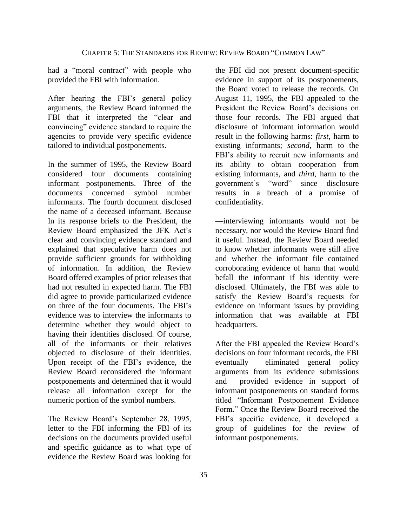had a "moral contract" with people who provided the FBI with information.

After hearing the FBI's general policy arguments, the Review Board informed the FBI that it interpreted the "clear and convincing" evidence standard to require the agencies to provide very specific evidence tailored to individual postponements.

In the summer of 1995, the Review Board considered four documents containing informant postponements. Three of the documents concerned symbol number informants. The fourth document disclosed the name of a deceased informant. Because In its response briefs to the President, the Review Board emphasized the JFK Act's clear and convincing evidence standard and explained that speculative harm does not provide sufficient grounds for withholding of information. In addition, the Review Board offered examples of prior releases that had not resulted in expected harm. The FBI did agree to provide particularized evidence on three of the four documents. The FBI's evidence was to interview the informants to determine whether they would object to having their identities disclosed. Of course, all of the informants or their relatives objected to disclosure of their identities. Upon receipt of the FBI's evidence, the Review Board reconsidered the informant postponements and determined that it would release all information except for the numeric portion of the symbol numbers.

The Review Board's September 28, 1995, letter to the FBI informing the FBI of its decisions on the documents provided useful and specific guidance as to what type of evidence the Review Board was looking for

the FBI did not present document-specific evidence in support of its postponements, the Board voted to release the records. On August 11, 1995, the FBI appealed to the President the Review Board's decisions on those four records. The FBI argued that disclosure of informant information would result in the following harms: *first,* harm to existing informants; *second,* harm to the FBI's ability to recruit new informants and its ability to obtain cooperation from existing informants, and *third,* harm to the government's "word" since disclosure results in a breach of a promise of confidentiality.

—interviewing informants would not be necessary, nor would the Review Board find it useful. Instead, the Review Board needed to know whether informants were still alive and whether the informant file contained corroborating evidence of harm that would befall the informant if his identity were disclosed. Ultimately, the FBI was able to satisfy the Review Board's requests for evidence on informant issues by providing information that was available at FBI headquarters.

After the FBI appealed the Review Board's decisions on four informant records, the FBI eventually eliminated general policy arguments from its evidence submissions and provided evidence in support of informant postponements on standard forms titled "Informant Postponement Evidence Form." Once the Review Board received the FBI's specific evidence, it developed a group of guidelines for the review of informant postponements.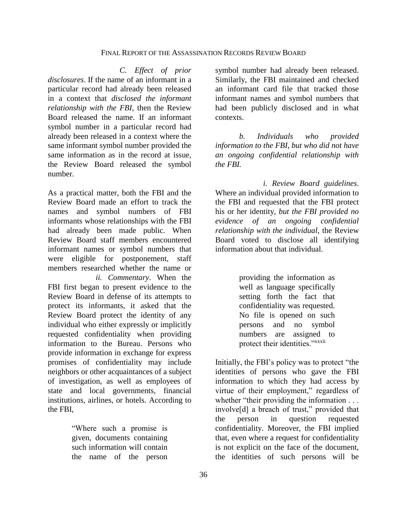#### FINAL REPORT OF THE ASSASSINATION RECORDS REVIEW BOARD

*C. Effect of prior disclosures*. If the name of an informant in a particular record had already been released in a context that *disclosed the informant relationship with the FBI*, then the Review Board released the name. If an informant symbol number in a particular record had already been released in a context where the same informant symbol number provided the same information as in the record at issue, the Review Board released the symbol number.

As a practical matter, both the FBI and the Review Board made an effort to track the names and symbol numbers of FBI informants whose relationships with the FBI had already been made public. When Review Board staff members encountered informant names or symbol numbers that were eligible for postponement, staff members researched whether the name or

*ii. Commentary*. When the FBI first began to present evidence to the Review Board in defense of its attempts to protect its informants, it asked that the Review Board protect the identity of any individual who either expressly or implicitly requested confidentiality when providing information to the Bureau. Persons who provide information in exchange for express promises of confidentiality may include neighbors or other acquaintances of a subject of investigation, as well as employees of state and local governments, financial institutions, airlines, or hotels. According to the FBI,

> "Where such a promise is given, documents containing such information will contain the name of the person

symbol number had already been released. Similarly, the FBI maintained and checked an informant card file that tracked those informant names and symbol numbers that had been publicly disclosed and in what contexts.

*b. Individuals who provided information to the FBI, but who did not have an ongoing confidential relationship with the FBI.*

*i. Review Board guidelines*. Where an individual provided information to the FBI and requested that the FBI protect his or her identity, *but the FBI provided no evidence of an ongoing confidential relationship with the individual*, the Review Board voted to disclose all identifying information about that individual.

> providing the information as well as language specifically setting forth the fact that confidentiality was requested. No file is opened on such persons and no symbol numbers are assigned to protect their identities."xxxii

Initially, the FBI's policy was to protect "the identities of persons who gave the FBI information to which they had access by virtue of their employment," regardless of whether "their providing the information . . . involve[d] a breach of trust," provided that the person in question requested confidentiality. Moreover, the FBI implied that, even where a request for confidentiality is not explicit on the face of the document, the identities of such persons will be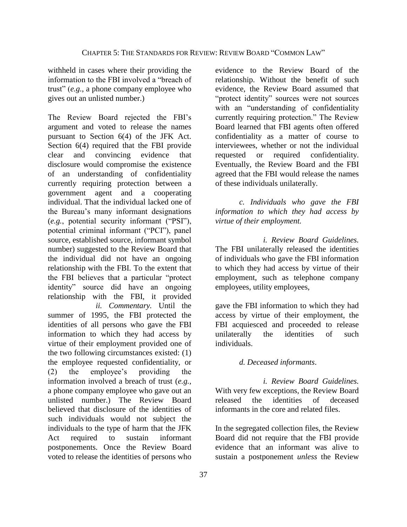withheld in cases where their providing the information to the FBI involved a "breach of trust" (*e.g.*, a phone company employee who gives out an unlisted number.)

The Review Board rejected the FBI's argument and voted to release the names pursuant to Section 6(4) of the JFK Act. Section 6(4) required that the FBI provide clear and convincing evidence that disclosure would compromise the existence of an understanding of confidentiality currently requiring protection between a government agent and a cooperating individual. That the individual lacked one of the Bureau's many informant designations (*e.g.*, potential security informant ("PSI"), potential criminal informant ("PCI"), panel source, established source, informant symbol number) suggested to the Review Board that the individual did not have an ongoing relationship with the FBI. To the extent that the FBI believes that a particular "protect identity" source did have an ongoing relationship with the FBI, it provided

*ii. Commentary.* Until the summer of 1995, the FBI protected the identities of all persons who gave the FBI information to which they had access by virtue of their employment provided one of the two following circumstances existed: (1) the employee requested confidentiality, or (2) the employee's providing the information involved a breach of trust (*e.g.,* a phone company employee who gave out an unlisted number.) The Review Board believed that disclosure of the identities of such individuals would not subject the individuals to the type of harm that the JFK Act required to sustain informant postponements. Once the Review Board voted to release the identities of persons who

evidence to the Review Board of the relationship. Without the benefit of such evidence, the Review Board assumed that "protect identity" sources were not sources with an "understanding of confidentiality currently requiring protection." The Review Board learned that FBI agents often offered confidentiality as a matter of course to interviewees, whether or not the individual requested or required confidentiality. Eventually, the Review Board and the FBI agreed that the FBI would release the names of these individuals unilaterally.

*c. Individuals who gave the FBI information to which they had access by virtue of their employment.*

*i. Review Board Guidelines.*  The FBI unilaterally released the identities of individuals who gave the FBI information to which they had access by virtue of their employment, such as telephone company employees, utility employees,

gave the FBI information to which they had access by virtue of their employment, the FBI acquiesced and proceeded to release unilaterally the identities of such individuals.

### *d. Deceased informants*.

*i. Review Board Guidelines.*  With very few exceptions, the Review Board released the identities of deceased informants in the core and related files.

In the segregated collection files, the Review Board did not require that the FBI provide evidence that an informant was alive to sustain a postponement *unless* the Review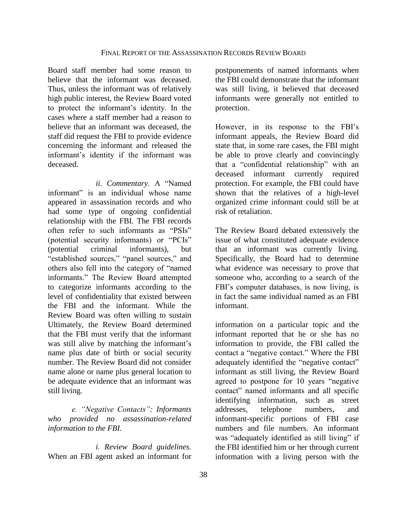Board staff member had some reason to believe that the informant was deceased. Thus, unless the informant was of relatively high public interest, the Review Board voted to protect the informant's identity. In the cases where a staff member had a reason to believe that an informant was deceased, the staff did request the FBI to provide evidence concerning the informant and released the informant's identity if the informant was deceased.

*ii. Commentary.* A "Named informant" is an individual whose name appeared in assassination records and who had some type of ongoing confidential relationship with the FBI. The FBI records often refer to such informants as "PSIs" (potential security informants) or "PCIs" (potential criminal informants), but "established sources," "panel sources," and others also fell into the category of "named informants." The Review Board attempted to categorize informants according to the level of confidentiality that existed between the FBI and the informant. While the Review Board was often willing to sustain Ultimately, the Review Board determined that the FBI must verify that the informant was still alive by matching the informant's name plus date of birth or social security number. The Review Board did not consider name alone or name plus general location to be adequate evidence that an informant was still living.

*e. "Negative Contacts": Informants who provided no assassination-related information to the FBI.*

*i. Review Board guidelines.*  When an FBI agent asked an informant for

postponements of named informants when the FBI could demonstrate that the informant was still living, it believed that deceased informants were generally not entitled to protection.

However, in its response to the FBI's informant appeals, the Review Board did state that, in some rare cases, the FBI might be able to prove clearly and convincingly that a "confidential relationship" with an deceased informant currently required protection. For example, the FBI could have shown that the relatives of a high-level organized crime informant could still be at risk of retaliation.

The Review Board debated extensively the issue of what constituted adequate evidence that an informant was currently living. Specifically, the Board had to determine what evidence was necessary to prove that someone who, according to a search of the FBI's computer databases, is now living, is in fact the same individual named as an FBI informant.

information on a particular topic and the informant reported that he or she has no information to provide, the FBI called the contact a "negative contact." Where the FBI adequately identified the "negative contact" informant as still living, the Review Board agreed to postpone for 10 years "negative contact" named informants and all specific identifying information, such as street addresses, telephone numbers, and informant-specific portions of FBI case numbers and file numbers. An informant was "adequately identified as still living" if the FBI identified him or her through current information with a living person with the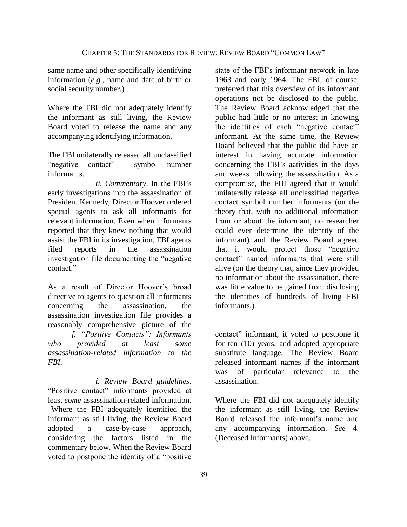same name and other specifically identifying information (*e.g.,* name and date of birth or social security number.)

Where the FBI did not adequately identify the informant as still living, the Review Board voted to release the name and any accompanying identifying information.

The FBI unilaterally released all unclassified "negative contact" symbol number informants.

*ii. Commentary.* In the FBI's early investigations into the assassination of President Kennedy, Director Hoover ordered special agents to ask all informants for relevant information. Even when informants reported that they knew nothing that would assist the FBI in its investigation, FBI agents filed reports in the assassination investigation file documenting the "negative contact<sup>"</sup>

As a result of Director Hoover's broad directive to agents to question all informants concerning the assassination, the assassination investigation file provides a reasonably comprehensive picture of the *f. "Positive Contacts": Informants who provided at least some assassination-related information to the FBI*.

*i. Review Board guidelines*. "Positive contact" informants provided at least *some* assassination-related information. Where the FBI adequately identified the informant as still living, the Review Board adopted a case-by-case approach, considering the factors listed in the commentary below. When the Review Board

voted to postpone the identity of a "positive

state of the FBI's informant network in late 1963 and early 1964. The FBI, of course, preferred that this overview of its informant operations not be disclosed to the public. The Review Board acknowledged that the public had little or no interest in knowing the identities of each "negative contact" informant. At the same time, the Review Board believed that the public did have an interest in having accurate information concerning the FBI's activities in the days and weeks following the assassination. As a compromise, the FBI agreed that it would unilaterally release all unclassified negative contact symbol number informants (on the theory that, with no additional information from or about the informant, no researcher could ever determine the identity of the informant) and the Review Board agreed that it would protect those "negative contact" named informants that were still alive (on the theory that, since they provided no information about the assassination, there was little value to be gained from disclosing the identities of hundreds of living FBI informants.)

contact" informant, it voted to postpone it for ten (10) years, and adopted appropriate substitute language. The Review Board released informant names if the informant was of particular relevance to the assassination.

Where the FBI did not adequately identify the informant as still living, the Review Board released the informant's name and any accompanying information. *See* 4. (Deceased Informants) above.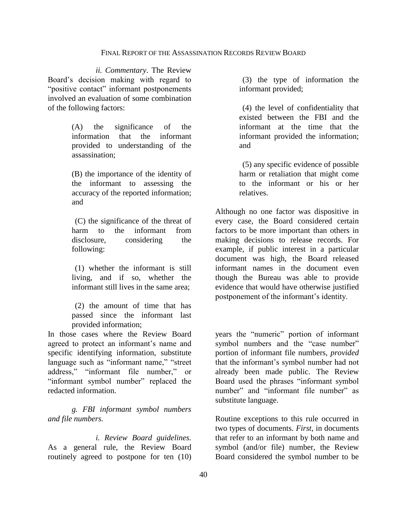#### FINAL REPORT OF THE ASSASSINATION RECORDS REVIEW BOARD

*ii. Commentary*. The Review Board's decision making with regard to "positive contact" informant postponements involved an evaluation of some combination of the following factors:

> (A) the significance of the information that the informant provided to understanding of the assassination;

> (B) the importance of the identity of the informant to assessing the accuracy of the reported information; and

> (C) the significance of the threat of harm to the informant from disclosure, considering the following:

> (1) whether the informant is still living, and if so, whether the informant still lives in the same area;

> (2) the amount of time that has passed since the informant last provided information;

In those cases where the Review Board agreed to protect an informant's name and specific identifying information, substitute language such as "informant name," "street address," "informant file number," or "informant symbol number" replaced the redacted information.

*g. FBI informant symbol numbers and file numbers.*

*i. Review Board guidelines.*  As a general rule, the Review Board routinely agreed to postpone for ten (10)

(3) the type of information the informant provided;

(4) the level of confidentiality that existed between the FBI and the informant at the time that the informant provided the information; and

(5) any specific evidence of possible harm or retaliation that might come to the informant or his or her relatives.

Although no one factor was dispositive in every case, the Board considered certain factors to be more important than others in making decisions to release records. For example, if public interest in a particular document was high, the Board released informant names in the document even though the Bureau was able to provide evidence that would have otherwise justified postponement of the informant's identity.

years the "numeric" portion of informant symbol numbers and the "case number" portion of informant file numbers, *provided* that the informant's symbol number had not already been made public. The Review Board used the phrases "informant symbol number" and "informant file number" as substitute language.

Routine exceptions to this rule occurred in two types of documents. *First,* in documents that refer to an informant by both name and symbol (and/or file) number, the Review Board considered the symbol number to be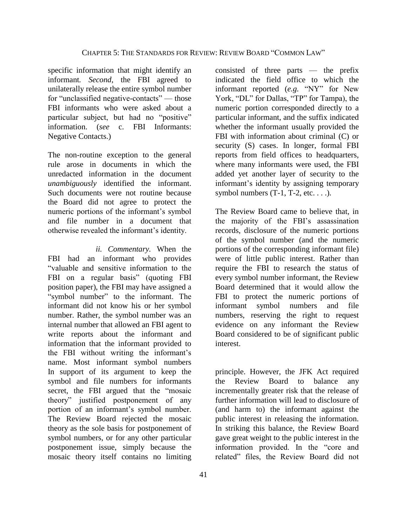specific information that might identify an informant*. Second*, the FBI agreed to unilaterally release the entire symbol number for "unclassified negative-contacts" — those FBI informants who were asked about a particular subject, but had no "positive" information. (*see* c. FBI Informants: Negative Contacts.)

The non-routine exception to the general rule arose in documents in which the unredacted information in the document *unambiguously* identified the informant. Such documents were not routine because the Board did not agree to protect the numeric portions of the informant's symbol and file number in a document that otherwise revealed the informant's identity.

*ii. Commentary.* When the FBI had an informant who provides "valuable and sensitive information to the FBI on a regular basis" (quoting FBI position paper), the FBI may have assigned a "symbol number" to the informant. The informant did not know his or her symbol number. Rather, the symbol number was an internal number that allowed an FBI agent to write reports about the informant and information that the informant provided to the FBI without writing the informant's name. Most informant symbol numbers In support of its argument to keep the symbol and file numbers for informants secret, the FBI argued that the "mosaic theory" justified postponement of any portion of an informant's symbol number. The Review Board rejected the mosaic theory as the sole basis for postponement of symbol numbers, or for any other particular postponement issue, simply because the mosaic theory itself contains no limiting

consisted of three parts — the prefix indicated the field office to which the informant reported (*e.g.* "NY" for New York, "DL" for Dallas, "TP" for Tampa), the numeric portion corresponded directly to a particular informant, and the suffix indicated whether the informant usually provided the FBI with information about criminal (C) or security (S) cases. In longer, formal FBI reports from field offices to headquarters, where many informants were used, the FBI added yet another layer of security to the informant's identity by assigning temporary symbol numbers  $(T-1, T-2, etc. ...)$ .

The Review Board came to believe that, in the majority of the FBI's assassination records, disclosure of the numeric portions of the symbol number (and the numeric portions of the corresponding informant file) were of little public interest. Rather than require the FBI to research the status of every symbol number informant, the Review Board determined that it would allow the FBI to protect the numeric portions of informant symbol numbers and file numbers, reserving the right to request evidence on any informant the Review Board considered to be of significant public interest.

principle. However, the JFK Act required the Review Board to balance any incrementally greater risk that the release of further information will lead to disclosure of (and harm to) the informant against the public interest in releasing the information. In striking this balance, the Review Board gave great weight to the public interest in the information provided. In the "core and related" files, the Review Board did not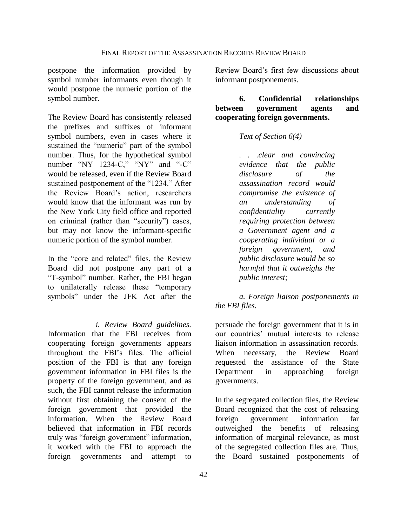postpone the information provided by symbol number informants even though it would postpone the numeric portion of the symbol number.

The Review Board has consistently released the prefixes and suffixes of informant symbol numbers, even in cases where it sustained the "numeric" part of the symbol number. Thus, for the hypothetical symbol number "NY 1234-C," "NY" and "-C" would be released, even if the Review Board sustained postponement of the "1234." After the Review Board's action, researchers would know that the informant was run by the New York City field office and reported on criminal (rather than "security") cases, but may not know the informant-specific numeric portion of the symbol number.

In the "core and related" files, the Review Board did not postpone any part of a "T-symbol" number. Rather, the FBI began to unilaterally release these "temporary symbols" under the JFK Act after the

*i. Review Board guidelines.*  Information that the FBI receives from cooperating foreign governments appears throughout the FBI's files. The official position of the FBI is that any foreign government information in FBI files is the property of the foreign government, and as such, the FBI cannot release the information without first obtaining the consent of the foreign government that provided the information. When the Review Board believed that information in FBI records truly was "foreign government" information, it worked with the FBI to approach the foreign governments and attempt to

Review Board's first few discussions about informant postponements.

# **6. Confidential relationships between government agents and cooperating foreign governments.**

### *Text of Section 6(4)*

*. . .clear and convincing evidence that the public disclosure of the assassination record would compromise the existence of an understanding of confidentiality currently requiring protection between a Government agent and a cooperating individual or a foreign government, and public disclosure would be so harmful that it outweighs the public interest;*

*a. Foreign liaison postponements in the FBI files.*

persuade the foreign government that it is in our countries' mutual interests to release liaison information in assassination records. When necessary, the Review Board requested the assistance of the State Department in approaching foreign governments.

In the segregated collection files, the Review Board recognized that the cost of releasing foreign government information far outweighed the benefits of releasing information of marginal relevance, as most of the segregated collection files are. Thus, the Board sustained postponements of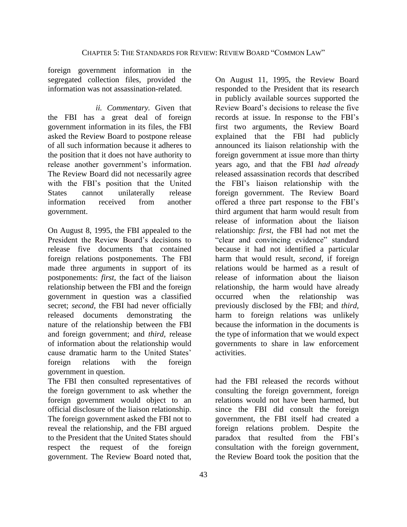foreign government information in the segregated collection files, provided the information was not assassination-related.

*ii. Commentary.* Given that the FBI has a great deal of foreign government information in its files, the FBI asked the Review Board to postpone release of all such information because it adheres to the position that it does not have authority to release another government's information. The Review Board did not necessarily agree with the FBI's position that the United States cannot unilaterally release information received from another government.

On August 8, 1995, the FBI appealed to the President the Review Board's decisions to release five documents that contained foreign relations postponements. The FBI made three arguments in support of its postponements: *first,* the fact of the liaison relationship between the FBI and the foreign government in question was a classified secret; *second,* the FBI had never officially released documents demonstrating the nature of the relationship between the FBI and foreign government; and *third,* release of information about the relationship would cause dramatic harm to the United States' foreign relations with the foreign government in question.

The FBI then consulted representatives of the foreign government to ask whether the foreign government would object to an official disclosure of the liaison relationship. The foreign government asked the FBI not to reveal the relationship, and the FBI argued to the President that the United States should respect the request of the foreign government. The Review Board noted that,

On August 11, 1995, the Review Board responded to the President that its research in publicly available sources supported the Review Board's decisions to release the five records at issue. In response to the FBI's first two arguments, the Review Board explained that the FBI had publicly announced its liaison relationship with the foreign government at issue more than thirty years ago, and that the FBI *had already* released assassination records that described the FBI's liaison relationship with the foreign government. The Review Board offered a three part response to the FBI's third argument that harm would result from release of information about the liaison relationship: *first*, the FBI had not met the "clear and convincing evidence" standard because it had not identified a particular harm that would result, *second,* if foreign relations would be harmed as a result of release of information about the liaison relationship, the harm would have already occurred when the relationship was previously disclosed by the FBI; and *third,* harm to foreign relations was unlikely because the information in the documents is the type of information that we would expect governments to share in law enforcement activities.

had the FBI released the records without consulting the foreign government, foreign relations would not have been harmed, but since the FBI did consult the foreign government, the FBI itself had created a foreign relations problem. Despite the paradox that resulted from the FBI's consultation with the foreign government, the Review Board took the position that the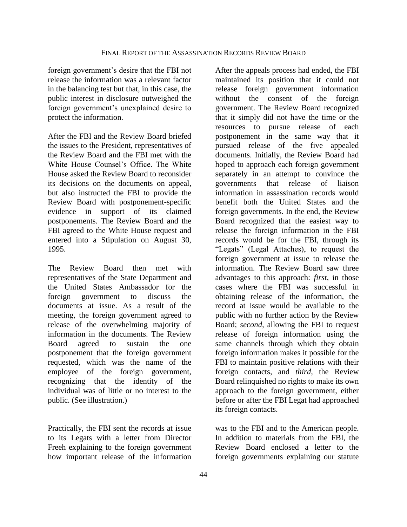foreign government's desire that the FBI not release the information was a relevant factor in the balancing test but that, in this case, the public interest in disclosure outweighed the foreign government's unexplained desire to protect the information.

After the FBI and the Review Board briefed the issues to the President, representatives of the Review Board and the FBI met with the White House Counsel's Office. The White House asked the Review Board to reconsider its decisions on the documents on appeal, but also instructed the FBI to provide the Review Board with postponement-specific evidence in support of its claimed postponements. The Review Board and the FBI agreed to the White House request and entered into a Stipulation on August 30, 1995.

The Review Board then met with representatives of the State Department and the United States Ambassador for the foreign government to discuss the documents at issue. As a result of the meeting, the foreign government agreed to release of the overwhelming majority of information in the documents. The Review Board agreed to sustain the one postponement that the foreign government requested, which was the name of the employee of the foreign government, recognizing that the identity of the individual was of little or no interest to the public. (See illustration.)

Practically, the FBI sent the records at issue to its Legats with a letter from Director Freeh explaining to the foreign government how important release of the information After the appeals process had ended, the FBI maintained its position that it could not release foreign government information without the consent of the foreign government. The Review Board recognized that it simply did not have the time or the resources to pursue release of each postponement in the same way that it pursued release of the five appealed documents. Initially, the Review Board had hoped to approach each foreign government separately in an attempt to convince the governments that release of liaison information in assassination records would benefit both the United States and the foreign governments. In the end, the Review Board recognized that the easiest way to release the foreign information in the FBI records would be for the FBI, through its "Legats" (Legal Attaches), to request the foreign government at issue to release the information. The Review Board saw three advantages to this approach: *first,* in those cases where the FBI was successful in obtaining release of the information, the record at issue would be available to the public with no further action by the Review Board; *second,* allowing the FBI to request release of foreign information using the same channels through which they obtain foreign information makes it possible for the FBI to maintain positive relations with their foreign contacts, and *third,* the Review Board relinquished no rights to make its own approach to the foreign government, either before or after the FBI Legat had approached its foreign contacts.

was to the FBI and to the American people. In addition to materials from the FBI, the Review Board enclosed a letter to the foreign governments explaining our statute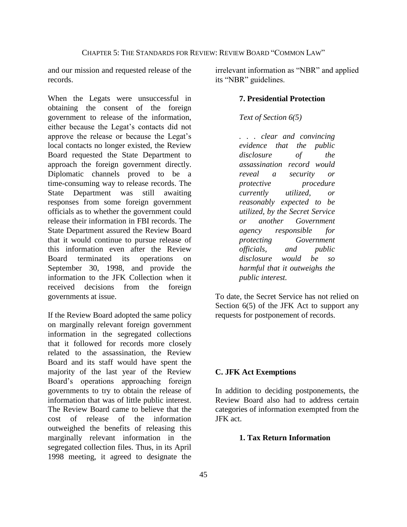and our mission and requested release of the records.

When the Legats were unsuccessful in obtaining the consent of the foreign government to release of the information, either because the Legat's contacts did not approve the release or because the Legat's local contacts no longer existed, the Review Board requested the State Department to approach the foreign government directly. Diplomatic channels proved to be a time-consuming way to release records. The State Department was still awaiting responses from some foreign government officials as to whether the government could release their information in FBI records. The State Department assured the Review Board that it would continue to pursue release of this information even after the Review Board terminated its operations on September 30, 1998, and provide the information to the JFK Collection when it received decisions from the foreign governments at issue.

If the Review Board adopted the same policy on marginally relevant foreign government information in the segregated collections that it followed for records more closely related to the assassination, the Review Board and its staff would have spent the majority of the last year of the Review Board's operations approaching foreign governments to try to obtain the release of information that was of little public interest. The Review Board came to believe that the cost of release of the information outweighed the benefits of releasing this marginally relevant information in the segregated collection files. Thus, in its April 1998 meeting, it agreed to designate the

irrelevant information as "NBR" and applied its "NBR" guidelines.

#### **7. Presidential Protection**

*Text of Section 6(5)*

*. . . clear and convincing evidence that the public disclosure of the assassination record would reveal a security or protective procedure currently utilized, or reasonably expected to be utilized, by the Secret Service or another Government agency responsible for protecting Government officials, and public disclosure would be so harmful that it outweighs the public interest.*

To date, the Secret Service has not relied on Section  $6(5)$  of the JFK Act to support any requests for postponement of records.

#### **C. JFK Act Exemptions**

In addition to deciding postponements, the Review Board also had to address certain categories of information exempted from the JFK act.

#### **1. Tax Return Information**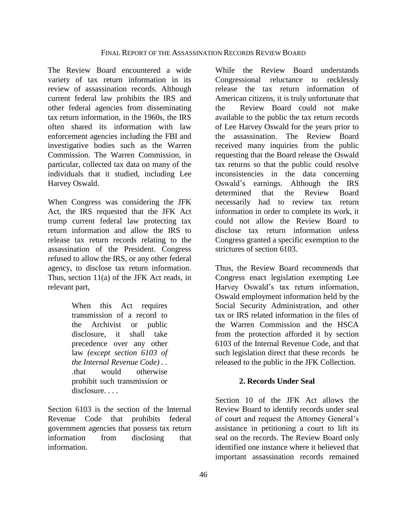The Review Board encountered a wide variety of tax return information in its review of assassination records. Although current federal law prohibits the IRS and other federal agencies from disseminating tax return information, in the 1960s, the IRS often shared its information with law enforcement agencies including the FBI and investigative bodies such as the Warren Commission. The Warren Commission, in particular, collected tax data on many of the individuals that it studied, including Lee Harvey Oswald.

When Congress was considering the JFK Act, the IRS requested that the JFK Act trump current federal law protecting tax return information and allow the IRS to release tax return records relating to the assassination of the President. Congress refused to allow the IRS, or any other federal agency, to disclose tax return information. Thus, section 11(a) of the JFK Act reads, in relevant part,

> When this Act requires transmission of a record to the Archivist or public disclosure, it shall take precedence over any other law *(except section 6103 of the Internal Revenue Code) . . .*that would otherwise prohibit such transmission or disclosure. . . .

Section 6103 is the section of the Internal Revenue Code that prohibits federal government agencies that possess tax return information from disclosing that information.

While the Review Board understands Congressional reluctance to recklessly release the tax return information of American citizens, it is truly unfortunate that the Review Board could not make available to the public the tax return records of Lee Harvey Oswald for the years prior to the assassination. The Review Board received many inquiries from the public requesting that the Board release the Oswald tax returns so that the public could resolve inconsistencies in the data concerning Oswald's earnings. Although the IRS determined that the Review Board necessarily had to review tax return information in order to complete its work, it could not allow the Review Board to disclose tax return information unless Congress granted a specific exemption to the strictures of section 6103.

Thus, the Review Board recommends that Congress enact legislation exempting Lee Harvey Oswald's tax return information, Oswald employment information held by the Social Security Administration, and other tax or IRS related information in the files of the Warren Commission and the HSCA from the protection afforded it by section 6103 of the Internal Revenue Code, and that such legislation direct that these records be released to the public in the JFK Collection.

### **2. Records Under Seal**

Section 10 of the JFK Act allows the Review Board to identify records under seal of court and request the Attorney General's assistance in petitioning a court to lift its seal on the records. The Review Board only identified one instance where it believed that important assassination records remained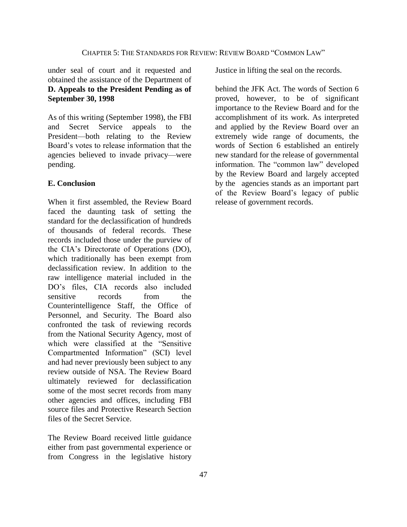under seal of court and it requested and obtained the assistance of the Department of **D. Appeals to the President Pending as of September 30, 1998**

As of this writing (September 1998), the FBI and Secret Service appeals to the President—both relating to the Review Board's votes to release information that the agencies believed to invade privacy—were pending.

### **E. Conclusion**

When it first assembled, the Review Board faced the daunting task of setting the standard for the declassification of hundreds of thousands of federal records. These records included those under the purview of the CIA's Directorate of Operations (DO), which traditionally has been exempt from declassification review. In addition to the raw intelligence material included in the DO's files, CIA records also included sensitive records from the Counterintelligence Staff, the Office of Personnel, and Security. The Board also confronted the task of reviewing records from the National Security Agency, most of which were classified at the "Sensitive Compartmented Information" (SCI) level and had never previously been subject to any review outside of NSA. The Review Board ultimately reviewed for declassification some of the most secret records from many other agencies and offices, including FBI source files and Protective Research Section files of the Secret Service.

The Review Board received little guidance either from past governmental experience or from Congress in the legislative history Justice in lifting the seal on the records.

behind the JFK Act. The words of Section 6 proved, however, to be of significant importance to the Review Board and for the accomplishment of its work. As interpreted and applied by the Review Board over an extremely wide range of documents, the words of Section 6 established an entirely new standard for the release of governmental information. The "common law" developed by the Review Board and largely accepted by the agencies stands as an important part of the Review Board's legacy of public release of government records.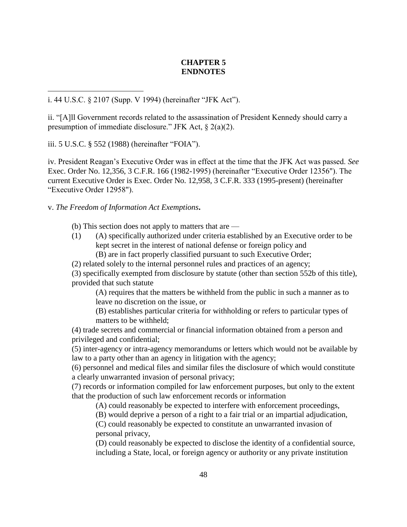# **CHAPTER 5 ENDNOTES**

i. 44 U.S.C. § 2107 (Supp. V 1994) (hereinafter "JFK Act").

ii. "[A]ll Government records related to the assassination of President Kennedy should carry a presumption of immediate disclosure." JFK Act, § 2(a)(2).

iii. 5 U.S.C. § 552 (1988) (hereinafter "FOIA").

 $\overline{a}$ 

iv. President Reagan's Executive Order was in effect at the time that the JFK Act was passed. *See* Exec. Order No. 12,356, 3 C.F.R. 166 (1982-1995) (hereinafter "Executive Order 12356"). The current Executive Order is Exec. Order No. 12,958, 3 C.F.R. 333 (1995-present) (hereinafter "Executive Order 12958").

v. *The Freedom of Information Act Exemptions***.**

(b) This section does not apply to matters that are —

(1) (A) specifically authorized under criteria established by an Executive order to be kept secret in the interest of national defense or foreign policy and

(B) are in fact properly classified pursuant to such Executive Order;

(2) related solely to the internal personnel rules and practices of an agency;

(3) specifically exempted from disclosure by statute (other than section 552b of this title), provided that such statute

(A) requires that the matters be withheld from the public in such a manner as to leave no discretion on the issue, or

 (B) establishes particular criteria for withholding or refers to particular types of matters to be withheld;

(4) trade secrets and commercial or financial information obtained from a person and privileged and confidential;

(5) inter-agency or intra-agency memorandums or letters which would not be available by law to a party other than an agency in litigation with the agency;

(6) personnel and medical files and similar files the disclosure of which would constitute a clearly unwarranted invasion of personal privacy;

(7) records or information compiled for law enforcement purposes, but only to the extent that the production of such law enforcement records or information

(A) could reasonably be expected to interfere with enforcement proceedings,

(B) would deprive a person of a right to a fair trial or an impartial adjudication,

(C) could reasonably be expected to constitute an unwarranted invasion of personal privacy,

(D) could reasonably be expected to disclose the identity of a confidential source, including a State, local, or foreign agency or authority or any private institution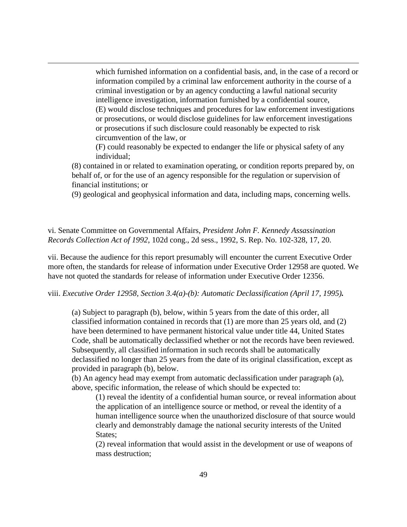which furnished information on a confidential basis, and, in the case of a record or information compiled by a criminal law enforcement authority in the course of a criminal investigation or by an agency conducting a lawful national security intelligence investigation, information furnished by a confidential source, (E) would disclose techniques and procedures for law enforcement investigations or prosecutions, or would disclose guidelines for law enforcement investigations or prosecutions if such disclosure could reasonably be expected to risk circumvention of the law, or

(F) could reasonably be expected to endanger the life or physical safety of any individual;

(8) contained in or related to examination operating, or condition reports prepared by, on behalf of, or for the use of an agency responsible for the regulation or supervision of financial institutions; or

(9) geological and geophysical information and data, including maps, concerning wells.

vi. Senate Committee on Governmental Affairs, *President John F. Kennedy Assassination Records Collection Act of 1992*, 102d cong., 2d sess., 1992, S. Rep. No. 102-328, 17, 20.

 $\overline{a}$ 

vii. Because the audience for this report presumably will encounter the current Executive Order more often, the standards for release of information under Executive Order 12958 are quoted. We have not quoted the standards for release of information under Executive Order 12356.

viii. *Executive Order 12958, Section 3.4(a)-(b): Automatic Declassification (April 17, 1995).*

(a) Subject to paragraph (b), below, within 5 years from the date of this order, all classified information contained in records that (1) are more than 25 years old, and (2) have been determined to have permanent historical value under title 44, United States Code, shall be automatically declassified whether or not the records have been reviewed. Subsequently, all classified information in such records shall be automatically declassified no longer than 25 years from the date of its original classification, except as provided in paragraph (b), below.

(b) An agency head may exempt from automatic declassification under paragraph (a), above, specific information, the release of which should be expected to:

(1) reveal the identity of a confidential human source, or reveal information about the application of an intelligence source or method, or reveal the identity of a human intelligence source when the unauthorized disclosure of that source would clearly and demonstrably damage the national security interests of the United States;

(2) reveal information that would assist in the development or use of weapons of mass destruction;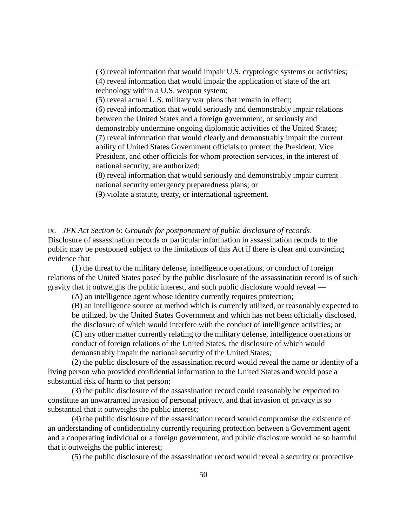(3) reveal information that would impair U.S. cryptologic systems or activities;

(4) reveal information that would impair the application of state of the art technology within a U.S. weapon system;

(5) reveal actual U.S. military war plans that remain in effect;

 $\overline{a}$ 

(6) reveal information that would seriously and demonstrably impair relations between the United States and a foreign government, or seriously and

demonstrably undermine ongoing diplomatic activities of the United States; (7) reveal information that would clearly and demonstrably impair the current ability of United States Government officials to protect the President, Vice President, and other officials for whom protection services, in the interest of national security, are authorized;

(8) reveal information that would seriously and demonstrably impair current national security emergency preparedness plans; or

(9) violate a statute, treaty, or international agreement.

ix. *JFK Act Section 6: Grounds for postponement of public disclosure of records*. Disclosure of assassination records or particular information in assassination records to the public may be postponed subject to the limitations of this Act if there is clear and convincing evidence that—

(1) the threat to the military defense, intelligence operations, or conduct of foreign relations of the United States posed by the public disclosure of the assassination record is of such gravity that it outweighs the public interest, and such public disclosure would reveal —

(A) an intelligence agent whose identity currently requires protection;

(B) an intelligence source or method which is currently utilized, or reasonably expected to be utilized, by the United States Government and which has not been officially disclosed, the disclosure of which would interfere with the conduct of intelligence activities; or (C) any other matter currently relating to the military defense, intelligence operations or conduct of foreign relations of the United States, the disclosure of which would demonstrably impair the national security of the United States;

(2) the public disclosure of the assassination record would reveal the name or identity of a living person who provided confidential information to the United States and would pose a substantial risk of harm to that person;

(3) the public disclosure of the assassination record could reasonably be expected to constitute an unwarranted invasion of personal privacy, and that invasion of privacy is so substantial that it outweighs the public interest;

(4) the public disclosure of the assassination record would compromise the existence of an understanding of confidentiality currently requiring protection between a Government agent and a cooperating individual or a foreign government, and public disclosure would be so harmful that it outweighs the public interest;

(5) the public disclosure of the assassination record would reveal a security or protective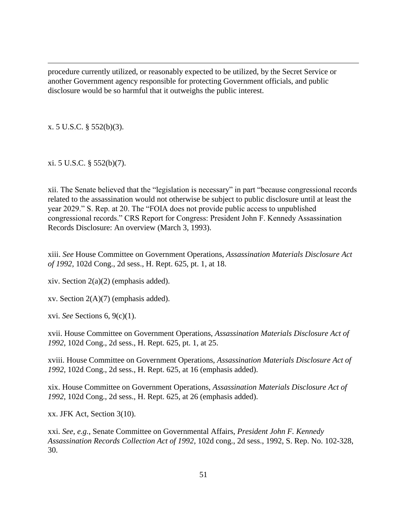procedure currently utilized, or reasonably expected to be utilized, by the Secret Service or another Government agency responsible for protecting Government officials, and public disclosure would be so harmful that it outweighs the public interest.

x. 5 U.S.C. § 552(b)(3).

 $\overline{a}$ 

xi. 5 U.S.C. § 552(b)(7).

xii. The Senate believed that the "legislation is necessary" in part "because congressional records related to the assassination would not otherwise be subject to public disclosure until at least the year 2029." S. Rep. at 20. The "FOIA does not provide public access to unpublished congressional records." CRS Report for Congress: President John F. Kennedy Assassination Records Disclosure: An overview (March 3, 1993).

xiii. *See* House Committee on Government Operations, *Assassination Materials Disclosure Act of 1992*, 102d Cong., 2d sess., H. Rept. 625, pt. 1, at 18.

xiv. Section 2(a)(2) (emphasis added).

xv. Section  $2(A)(7)$  (emphasis added).

xvi. *See* Sections 6, 9(c)(1).

xvii. House Committee on Government Operations, *Assassination Materials Disclosure Act of 1992*, 102d Cong., 2d sess., H. Rept. 625, pt. 1, at 25.

xviii. House Committee on Government Operations, *Assassination Materials Disclosure Act of 1992*, 102d Cong., 2d sess., H. Rept. 625, at 16 (emphasis added).

xix. House Committee on Government Operations, *Assassination Materials Disclosure Act of 1992*, 102d Cong., 2d sess., H. Rept. 625, at 26 (emphasis added).

xx. JFK Act, Section 3(10).

xxi. *See*, *e.g.*, Senate Committee on Governmental Affairs, *President John F. Kennedy Assassination Records Collection Act of 1992*, 102d cong., 2d sess., 1992, S. Rep. No. 102-328, 30.